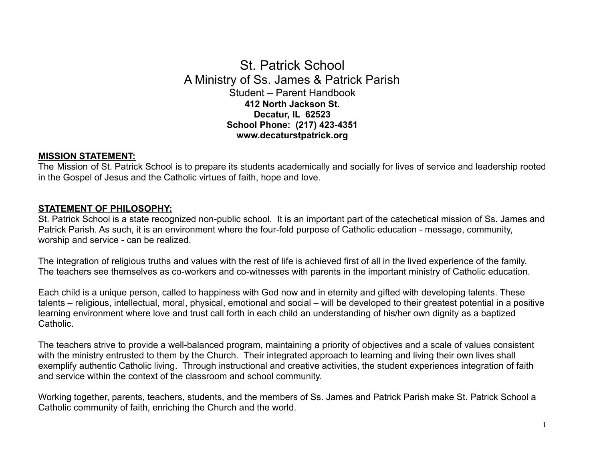# St. Patrick School A Ministry of Ss. James & Patrick Parish Student – Parent Handbook **412 North Jackson St. Decatur, IL 62523 School Phone: (217) 423-4351 www.decaturstpatrick.org**

# **MISSION STATEMENT:**

The Mission of St. Patrick School is to prepare its students academically and socially for lives of service and leadership rooted in the Gospel of Jesus and the Catholic virtues of faith, hope and love.

# **STATEMENT OF PHILOSOPHY:**

St. Patrick School is a state recognized non-public school. It is an important part of the catechetical mission of Ss. James and Patrick Parish. As such, it is an environment where the four-fold purpose of Catholic education - message, community, worship and service - can be realized.

The integration of religious truths and values with the rest of life is achieved first of all in the lived experience of the family. The teachers see themselves as co-workers and co-witnesses with parents in the important ministry of Catholic education.

Each child is a unique person, called to happiness with God now and in eternity and gifted with developing talents. These talents – religious, intellectual, moral, physical, emotional and social – will be developed to their greatest potential in a positive learning environment where love and trust call forth in each child an understanding of his/her own dignity as a baptized Catholic.

The teachers strive to provide a well-balanced program, maintaining a priority of objectives and a scale of values consistent with the ministry entrusted to them by the Church. Their integrated approach to learning and living their own lives shall exemplify authentic Catholic living. Through instructional and creative activities, the student experiences integration of faith and service within the context of the classroom and school community.

Working together, parents, teachers, students, and the members of Ss. James and Patrick Parish make St. Patrick School a Catholic community of faith, enriching the Church and the world.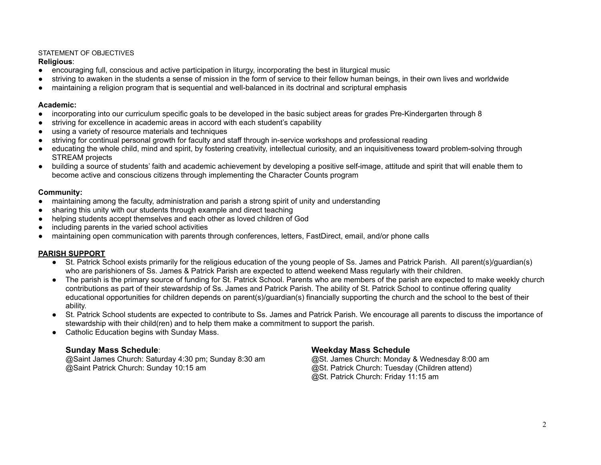# STATEMENT OF OBJECTIVES

#### **Religious**:

- encouraging full, conscious and active participation in liturgy, incorporating the best in liturgical music
- striving to awaken in the students a sense of mission in the form of service to their fellow human beings, in their own lives and worldwide
- maintaining a religion program that is sequential and well-balanced in its doctrinal and scriptural emphasis

### **Academic:**

- incorporating into our curriculum specific goals to be developed in the basic subject areas for grades Pre-Kindergarten through 8
- striving for excellence in academic areas in accord with each student's capability
- using a variety of resource materials and techniques
- striving for continual personal growth for faculty and staff through in-service workshops and professional reading
- educating the whole child, mind and spirit, by fostering creativity, intellectual curiosity, and an inquisitiveness toward problem-solving through STREAM projects
- building a source of students' faith and academic achievement by developing a positive self-image, attitude and spirit that will enable them to become active and conscious citizens through implementing the Character Counts program

# **Community:**

- maintaining among the faculty, administration and parish a strong spirit of unity and understanding
- sharing this unity with our students through example and direct teaching
- helping students accept themselves and each other as loved children of God
- including parents in the varied school activities
- maintaining open communication with parents through conferences, letters, FastDirect, email, and/or phone calls

# **PARISH SUPPORT**

- St. Patrick School exists primarily for the religious education of the young people of Ss. James and Patrick Parish. All parent(s)/guardian(s) who are parishioners of Ss. James & Patrick Parish are expected to attend weekend Mass regularly with their children.
- The parish is the primary source of funding for St. Patrick School. Parents who are members of the parish are expected to make weekly church contributions as part of their stewardship of Ss. James and Patrick Parish. The ability of St. Patrick School to continue offering quality educational opportunities for children depends on parent(s)/guardian(s) financially supporting the church and the school to the best of their ability.
- St. Patrick School students are expected to contribute to Ss. James and Patrick Parish. We encourage all parents to discuss the importance of stewardship with their child(ren) and to help them make a commitment to support the parish.
- Catholic Education begins with Sunday Mass.

@Saint James Church: Saturday 4:30 pm; Sunday 8:30 am @St. James Church: Monday & Wednesday 8:00 am @Saint Patrick Church: Sunday 10:15 am @St. Patrick Church: Tuesday (Children attend)

# **Sunday Mass Schedule**: **Weekday Mass Schedule**

@St. Patrick Church: Friday 11:15 am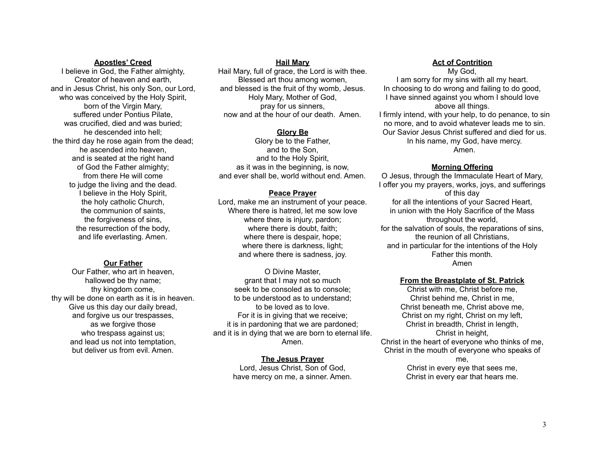#### **Apostles' Creed**

I believe in God, the Father almighty, Creator of heaven and earth, and in Jesus Christ, his only Son, our Lord, who was conceived by the Holy Spirit, born of the Virgin Mary, suffered under Pontius Pilate, was crucified, died and was buried; he descended into hell; the third day he rose again from the dead; he ascended into heaven, and is seated at the right hand of God the Father almighty; from there He will come to judge the living and the dead. I believe in the Holy Spirit, the holy catholic Church, the communion of saints, the forgiveness of sins, the resurrection of the body, and life everlasting. Amen.

#### **Our Father**

Our Father, who art in heaven, hallowed be thy name; thy kingdom come, thy will be done on earth as it is in heaven. Give us this day our daily bread, and forgive us our trespasses, as we forgive those who trespass against us; and lead us not into temptation, but deliver us from evil. Amen.

#### **Hail Mary**

Hail Mary, full of grace, the Lord is with thee. Blessed art thou among women, and blessed is the fruit of thy womb, Jesus. Holy Mary, Mother of God, pray for us sinners, now and at the hour of our death. Amen.

#### **Glory Be**

Glory be to the Father, and to the Son, and to the Holy Spirit, as it was in the beginning, is now, and ever shall be, world without end. Amen.

#### **Peace Prayer**

Lord, make me an instrument of your peace. Where there is hatred, let me sow love where there is injury, pardon; where there is doubt, faith; where there is despair, hope; where there is darkness, light; and where there is sadness, joy.

O Divine Master, grant that I may not so much seek to be consoled as to console; to be understood as to understand; to be loved as to love. For it is in giving that we receive; it is in pardoning that we are pardoned; and it is in dying that we are born to eternal life. Amen.

> **The Jesus Prayer** Lord, Jesus Christ, Son of God, have mercy on me, a sinner. Amen.

#### **Act of Contrition**

My God, I am sorry for my sins with all my heart. In choosing to do wrong and failing to do good, I have sinned against you whom I should love above all things. I firmly intend, with your help, to do penance, to sin no more, and to avoid whatever leads me to sin. Our Savior Jesus Christ suffered and died for us. In his name, my God, have mercy. Amen.

#### **Morning Offering**

O Jesus, through the Immaculate Heart of Mary, I offer you my prayers, works, joys, and sufferings of this day for all the intentions of your Sacred Heart, in union with the Holy Sacrifice of the Mass throughout the world, for the salvation of souls, the reparations of sins, the reunion of all Christians, and in particular for the intentions of the Holy Father this month. Amen

#### **From the Breastplate of St. Patrick**

Christ with me, Christ before me, Christ behind me, Christ in me, Christ beneath me, Christ above me, Christ on my right, Christ on my left, Christ in breadth, Christ in length, Christ in height, Christ in the heart of everyone who thinks of me, Christ in the mouth of everyone who speaks of

me, Christ in every eye that sees me, Christ in every ear that hears me.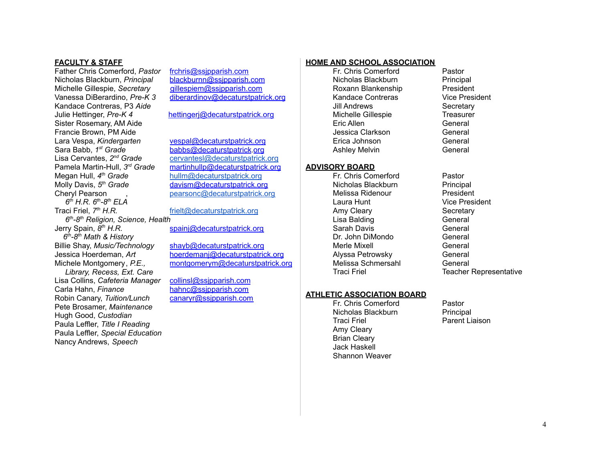#### **FACULTY & STAFF**

Father Chris Comerford, *Pastor* [frchris@ssjpparish.com](mailto:frchris@ssjpparish.com) Nicholas Blackburn, *Principal* Michelle Gillespie, *Secretary* [gillespiem@ssjpparish.com](mailto:gillespiem@ssjpparish.com) Kandace Contreras, P3 *Aide* Julie Hettinger, *Pre-K 4* [hettingerj@](mailto:hettingerj@ssjpparish.com)[decaturstpatrick](mailto:%09diberardinov@ssjpparish.com)[.org](mailto:hettingerj@ssjpparish.com) Sister Rosemary, AM Aide Francie Brown, PM Aide Lara Vespa, *Kindergarten* [vespal@](mailto:vespal@ssjpparish.com)[decaturstpatrick](mailto:%09diberardinov@ssjpparish.com)[.org](mailto:vespal@ssjpparish.com) Sara Babb, *1* Lisa Cervantes, *2* Pamela Martin-Hull, *3* Megan Hull, *4* Molly Davis, 5<sup>th</sup> Grade Cheryl Pearson (b) [pearsonc@decaturstpatrick.org](mailto:pearsonc@decaturstpatrick.org) *6 th H.R. 6 th -8 th ELA* Traci Friel,  $7<sup>th</sup> H.R.$ *6 th -8 th Religion, Science, Health* Jerry Spain, *8 6 th -8 th Math & History* Billie Shay, *Music/Technology* [shayb@](mailto:shayb@ssjpparish.com)[decaturstpatrick](mailto:%09diberardinov@ssjpparish.com)[.org](mailto:martin-hullp@ssjpparish.com) *Library, Recess, Ext. Care* Lisa Collins, *Cafeteria Manager* [collinsl@ssjpparish.com](mailto:collinsl@ssjpparish.com) Carla Hahn, *Finance* [hahnc@ssjpparish.com](mailto:hahnc@ssjpparish.com) Robin Canary, *Tuition/Lunch* [canaryr@ssjpparish.com](mailto:canaryr@ssjpparish.com) Pete Brosamer, *Maintenance* Hugh Good, *Custodian* Paula Leffler, *Title I Reading* Paula Leffler, *Special Education* Nancy Andrews, *Speech*

Vanessa DiBerardino, *Pre-K 3* [diberardinov@decaturstpatrick.org](mailto:diberardinov@decaturstpatrick.org)

*st Grade* [babbs@](mailto:babbs@ssjpparish.com)[decaturstpatrick](mailto:%09diberardinov@ssjpparish.com).[org](mailto:babbs@ssjpparish.com) *nd Grade* [cervantesl@decaturstpatrick.org](mailto:cervantesl@decaturstpatrick.org) [martinhullp@](mailto:martin-hullp@ssjpparish.com)[decaturstpatrick](mailto:%09diberardinov@ssjpparish.com)[.org](mailto:martin-hullp@ssjpparish.com) *th Grade* [hullm@decaturstpatrick.org](mailto:hullm@decaturstpatrick.org) *th Grade* [davism@](mailto:davism@ssjpparish.com)[decaturstpatrick](mailto:%09diberardinov@ssjpparish.com)[.org](mailto:martin-hullp@ssjpparish.com)

[frielt@decaturstpatrick.org](mailto:frielt@decaturstpatrick.org)

[spainj](mailto:spainj@ssjpparish.com)[@](mailto:mumawm@ssjpparish.com)[decaturstpatrick](mailto:%09diberardinov@ssjpparish.com)[.org](mailto:martin-hullp@ssjpparish.com)

Jessica Hoerdeman, *Art* [hoerdemanj@](mailto:hoerdemanj@ssjpparish.com)[decaturstpatrick](mailto:%09diberardinov@ssjpparish.com)[.org](mailto:martin-hullp@ssjpparish.com) Michele Montgomery, *P.E.,* [montgomerym@](mailto:montgomerym@ssjpparish.com)[decaturstpatrick](mailto:%09diberardinov@ssjpparish.com)[.org](mailto:martin-hullp@ssjpparish.com)

#### **HOME AND SCHOOL ASSOCIATION**

Fr. Chris Comerford Pastor Nicholas Blackburn Principal Roxann Blankenship President Kandace Contreras Vice President Jill Andrews Secretary Michelle Gillespie **Treasurer** Eric Allen General Jessica Clarkson General Erica Johnson General Ashley Melvin General

#### **ADVISORY BOARD**

Fr. Chris Comerford Pastor Nicholas Blackburn Principal Melissa Ridenour President Laura Hunt **Vice President** Amy Cleary **Secretary** Lisa Balding General Sarah Davis General Dr. John DiMondo General Merle Mixell General Alyssa Petrowsky General Melissa Schmersahl General

#### **ATHLETIC ASSOCIATION BOARD**

Fr. Chris Comerford Pastor Nicholas Blackburn Principal Traci Friel Parent Liaison Amy Cleary Brian Cleary Jack Haskell Shannon Weaver

Traci Friel **Traci Friel Teacher Representative**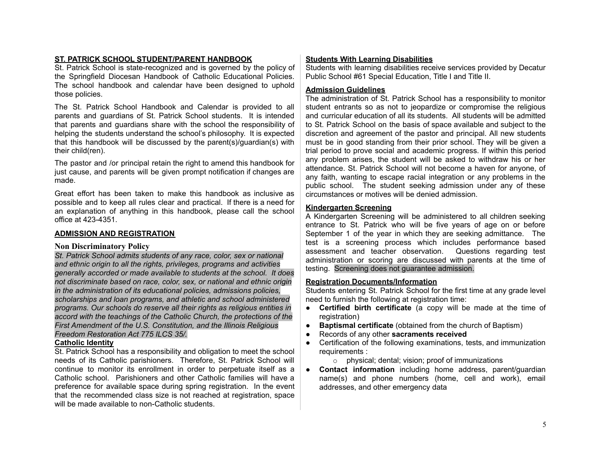# **ST. PATRICK SCHOOL STUDENT/PARENT HANDBOOK**

St. Patrick School is state-recognized and is governed by the policy of the Springfield Diocesan Handbook of Catholic Educational Policies. The school handbook and calendar have been designed to uphold those policies.

The St. Patrick School Handbook and Calendar is provided to all parents and guardians of St. Patrick School students. It is intended that parents and guardians share with the school the responsibility of helping the students understand the school's philosophy. It is expected that this handbook will be discussed by the parent(s)/guardian(s) with their child(ren).

The pastor and /or principal retain the right to amend this handbook for just cause, and parents will be given prompt notification if changes are made.

Great effort has been taken to make this handbook as inclusive as possible and to keep all rules clear and practical. If there is a need for an explanation of anything in this handbook, please call the school office at 423-4351.

### **ADMISSION AND REGISTRATION**

#### **Non Discriminatory Policy**

*St. Patrick School admits students of any race, color, sex or national and ethnic origin to all the rights, privileges, programs and activities generally accorded or made available to students at the school. It does not discriminate based on race, color, sex, or national and ethnic origin in the administration of its educational policies, admissions policies, scholarships and loan programs, and athletic and school administered programs. Our schools do reserve all their rights as religious entities in accord with the teachings of the Catholic Church, the protections of the First Amendment of the U.S. Constitution, and the Illinois Religious Freedom Restoration Act 775 ILCS 35/.*

#### **Catholic Identity**

St. Patrick School has a responsibility and obligation to meet the school needs of its Catholic parishioners. Therefore, St. Patrick School will continue to monitor its enrollment in order to perpetuate itself as a Catholic school. Parishioners and other Catholic families will have a preference for available space during spring registration. In the event that the recommended class size is not reached at registration, space will be made available to non-Catholic students.

#### **Students With Learning Disabilities**

Students with learning disabilities receive services provided by Decatur Public School #61 Special Education, Title I and Title II.

#### **Admission Guidelines**

The administration of St. Patrick School has a responsibility to monitor student entrants so as not to jeopardize or compromise the religious and curricular education of all its students. All students will be admitted to St. Patrick School on the basis of space available and subject to the discretion and agreement of the pastor and principal. All new students must be in good standing from their prior school. They will be given a trial period to prove social and academic progress. If within this period any problem arises, the student will be asked to withdraw his or her attendance. St. Patrick School will not become a haven for anyone, of any faith, wanting to escape racial integration or any problems in the public school. The student seeking admission under any of these circumstances or motives will be denied admission.

#### **Kindergarten Screening**

A Kindergarten Screening will be administered to all children seeking entrance to St. Patrick who will be five years of age on or before September 1 of the year in which they are seeking admittance. The test is a screening process which includes performance based assessment and teacher observation. Questions regarding test administration or scoring are discussed with parents at the time of testing. Screening does not guarantee admission.

#### **Registration Documents/Information**

Students entering St. Patrick School for the first time at any grade level need to furnish the following at registration time:

- **Certified birth certificate** (a copy will be made at the time of registration)
- **Baptismal certificate** (obtained from the church of Baptism)
- Records of any other **sacraments received**
- Certification of the following examinations, tests, and immunization requirements :
	- o physical; dental; vision; proof of immunizations
- **Contact information** including home address, parent/guardian name(s) and phone numbers (home, cell and work), email addresses, and other emergency data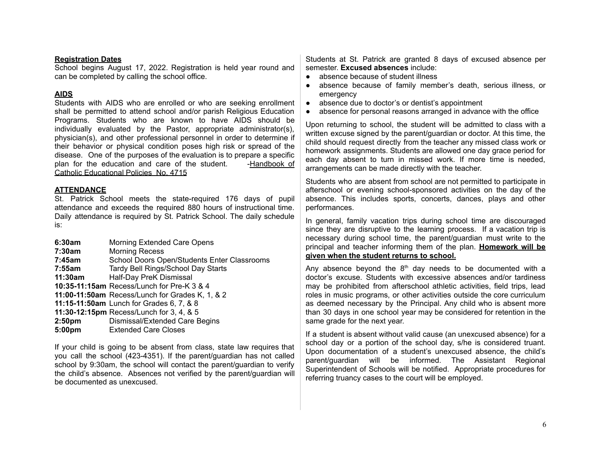#### **Registration Dates**

School begins August 17, 2022. Registration is held year round and can be completed by calling the school office.

# **AIDS**

Students with AIDS who are enrolled or who are seeking enrollment shall be permitted to attend school and/or parish Religious Education Programs. Students who are known to have AIDS should be individually evaluated by the Pastor, appropriate administrator(s), physician(s), and other professional personnel in order to determine if their behavior or physical condition poses high risk or spread of the disease. One of the purposes of the evaluation is to prepare a specific plan for the education and care of the student. -Handbook of Catholic Educational Policies No. 4715

# **ATTENDANCE**

St. Patrick School meets the state-required 176 days of pupil attendance and exceeds the required 880 hours of instructional time. Daily attendance is required by St. Patrick School. The daily schedule is:

| 6:30am             | Morning Extended Care Opens                     |
|--------------------|-------------------------------------------------|
| 7:30am             | <b>Morning Recess</b>                           |
| 7:45am             | School Doors Open/Students Enter Classrooms     |
| 7:55am             | Tardy Bell Rings/School Day Starts              |
| 11:30am            | Half-Day PreK Dismissal                         |
|                    | 10:35-11:15am Recess/Lunch for Pre-K 3 & 4      |
|                    | 11:00-11:50am Recess/Lunch for Grades K, 1, & 2 |
|                    | 11:15-11:50am Lunch for Grades 6, 7, & 8        |
|                    | 11:30-12:15pm Recess/Lunch for 3, 4, & 5        |
| 2:50 <sub>pm</sub> | Dismissal/Extended Care Begins                  |
| 5:00 <sub>pm</sub> | <b>Extended Care Closes</b>                     |

If your child is going to be absent from class, state law requires that you call the school (423-4351). If the parent/guardian has not called school by 9:30am, the school will contact the parent/guardian to verify the child's absence. Absences not verified by the parent/guardian will be documented as unexcused.

Students at St. Patrick are granted 8 days of excused absence per semester. **Excused absences** include:

- absence because of student illness
- absence because of family member's death, serious illness, or emergency
- absence due to doctor's or dentist's appointment
- absence for personal reasons arranged in advance with the office

Upon returning to school, the student will be admitted to class with a written excuse signed by the parent/guardian or doctor. At this time, the child should request directly from the teacher any missed class work or homework assignments. Students are allowed one day grace period for each day absent to turn in missed work. If more time is needed, arrangements can be made directly with the teacher.

Students who are absent from school are not permitted to participate in afterschool or evening school-sponsored activities on the day of the absence. This includes sports, concerts, dances, plays and other performances.

In general, family vacation trips during school time are discouraged since they are disruptive to the learning process. If a vacation trip is necessary during school time, the parent/guardian must write to the principal and teacher informing them of the plan. **Homework will be given when the student returns to school.**

Any absence beyond the  $8<sup>th</sup>$  day needs to be documented with a doctor's excuse. Students with excessive absences and/or tardiness may be prohibited from afterschool athletic activities, field trips, lead roles in music programs, or other activities outside the core curriculum as deemed necessary by the Principal. Any child who is absent more than 30 days in one school year may be considered for retention in the same grade for the next year.

If a student is absent without valid cause (an unexcused absence) for a school day or a portion of the school day, s/he is considered truant. Upon documentation of a student's unexcused absence, the child's parent/guardian will be informed. The Assistant Regional Superintendent of Schools will be notified. Appropriate procedures for referring truancy cases to the court will be employed.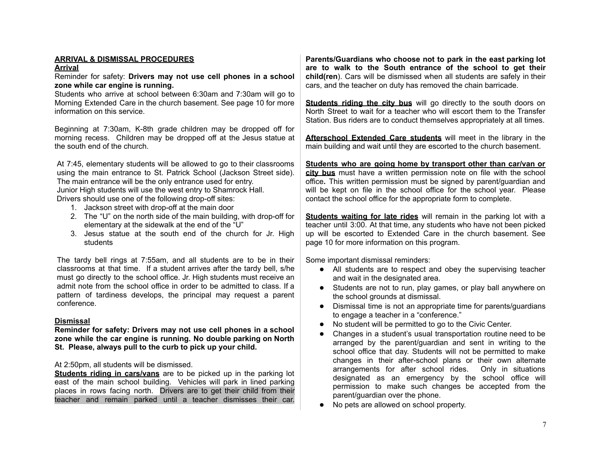# **ARRIVAL & DISMISSAL PROCEDURES**

#### **Arrival**

Reminder for safety: **Drivers may not use cell phones in a school zone while car engine is running.**

Students who arrive at school between 6:30am and 7:30am will go to Morning Extended Care in the church basement. See page 10 for more information on this service.

Beginning at 7:30am, K-8th grade children may be dropped off for morning recess. Children may be dropped off at the Jesus statue at the south end of the church.

At 7:45, elementary students will be allowed to go to their classrooms using the main entrance to St. Patrick School (Jackson Street side). The main entrance will be the only entrance used for entry.

Junior High students will use the west entry to Shamrock Hall.

Drivers should use one of the following drop-off sites:

- 1. Jackson street with drop-off at the main door
- 2. The "U" on the north side of the main building, with drop-off for elementary at the sidewalk at the end of the "U"
- 3. Jesus statue at the south end of the church for Jr. High students

The tardy bell rings at 7:55am, and all students are to be in their classrooms at that time. If a student arrives after the tardy bell, s/he must go directly to the school office. Jr. High students must receive an admit note from the school office in order to be admitted to class. If a pattern of tardiness develops, the principal may request a parent conference.

#### **Dismissal**

**Reminder for safety: Drivers may not use cell phones in a school zone while the car engine is running. No double parking on North St. Please, always pull to the curb to pick up your child.**

# At 2:50pm, all students will be dismissed.

**Students riding in cars/vans** are to be picked up in the parking lot east of the main school building. Vehicles will park in lined parking places in rows facing north. Drivers are to get their child from their teacher and remain parked until a teacher dismisses their car. **Parents/Guardians who choose not to park in the east parking lot are to walk to the South entrance of the school to get their child(ren**). Cars will be dismissed when all students are safely in their cars, and the teacher on duty has removed the chain barricade.

**Students riding the city bus** will go directly to the south doors on North Street to wait for a teacher who will escort them to the Transfer Station. Bus riders are to conduct themselves appropriately at all times.

**Afterschool Extended Care students** will meet in the library in the main building and wait until they are escorted to the church basement.

**Students who are going home by transport other than car/van or city bus** must have a written permission note on file with the school office**.** This written permission must be signed by parent/guardian and will be kept on file in the school office for the school year. Please contact the school office for the appropriate form to complete.

**Students waiting for late rides** will remain in the parking lot with a teacher until 3:00. At that time, any students who have not been picked up will be escorted to Extended Care in the church basement. See page 10 for more information on this program.

Some important dismissal reminders:

- All students are to respect and obey the supervising teacher and wait in the designated area.
- Students are not to run, play games, or play ball anywhere on the school grounds at dismissal.
- Dismissal time is not an appropriate time for parents/guardians to engage a teacher in a "conference."
- No student will be permitted to go to the Civic Center.
- Changes in a student's usual transportation routine need to be arranged by the parent/guardian and sent in writing to the school office that day. Students will not be permitted to make changes in their after-school plans or their own alternate arrangements for after school rides. Only in situations designated as an emergency by the school office will permission to make such changes be accepted from the parent/guardian over the phone.
- No pets are allowed on school property.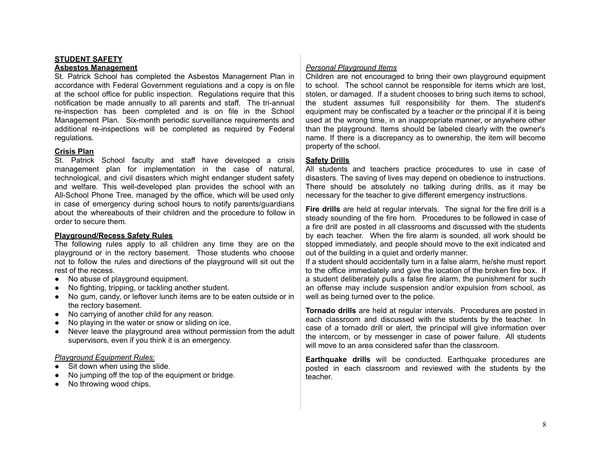# **STUDENT SAFETY**

#### **Asbestos Management**

St. Patrick School has completed the Asbestos Management Plan in accordance with Federal Government regulations and a copy is on file at the school office for public inspection. Regulations require that this notification be made annually to all parents and staff. The tri-annual re-inspection has been completed and is on file in the School Management Plan. Six-month periodic surveillance requirements and additional re-inspections will be completed as required by Federal regulations.

#### **Crisis Plan**

St. Patrick School faculty and staff have developed a crisis management plan for implementation in the case of natural, technological, and civil disasters which might endanger student safety and welfare. This well-developed plan provides the school with an All-School Phone Tree, managed by the office, which will be used only in case of emergency during school hours to notify parents/guardians about the whereabouts of their children and the procedure to follow in order to secure them.

#### **Playground/Recess Safety Rules**

The following rules apply to all children any time they are on the playground or in the rectory basement. Those students who choose not to follow the rules and directions of the playground will sit out the rest of the recess.

- **●** No abuse of playground equipment.
- **●** No fighting, tripping, or tackling another student.
- **●** No gum, candy, or leftover lunch items are to be eaten outside or in the rectory basement.
- **●** No carrying of another child for any reason.
- **●** No playing in the water or snow or sliding on ice.
- **●** Never leave the playground area without permission from the adult supervisors, even if you think it is an emergency.

#### *Playground Equipment Rules:*

- Sit down when using the slide.
- No jumping off the top of the equipment or bridge.
- No throwing wood chips.

#### *Personal Playground Items*

Children are not encouraged to bring their own playground equipment to school. The school cannot be responsible for items which are lost, stolen, or damaged. If a student chooses to bring such items to school, the student assumes full responsibility for them. The student's equipment may be confiscated by a teacher or the principal if it is being used at the wrong time, in an inappropriate manner, or anywhere other than the playground. Items should be labeled clearly with the owner's name. If there is a discrepancy as to ownership, the item will become property of the school.

#### **Safety Drills**

All students and teachers practice procedures to use in case of disasters. The saving of lives may depend on obedience to instructions. There should be absolutely no talking during drills, as it may be necessary for the teacher to give different emergency instructions.

**Fire drills** are held at regular intervals. The signal for the fire drill is a steady sounding of the fire horn. Procedures to be followed in case of a fire drill are posted in all classrooms and discussed with the students by each teacher. When the fire alarm is sounded, all work should be stopped immediately, and people should move to the exit indicated and out of the building in a quiet and orderly manner.

If a student should accidentally turn in a false alarm, he/she must report to the office immediately and give the location of the broken fire box. If a student deliberately pulls a false fire alarm, the punishment for such an offense may include suspension and/or expulsion from school, as well as being turned over to the police.

**Tornado drills** are held at regular intervals. Procedures are posted in each classroom and discussed with the students by the teacher. In case of a tornado drill or alert, the principal will give information over the intercom, or by messenger in case of power failure. All students will move to an area considered safer than the classroom.

**Earthquake drills** will be conducted. Earthquake procedures are posted in each classroom and reviewed with the students by the teacher.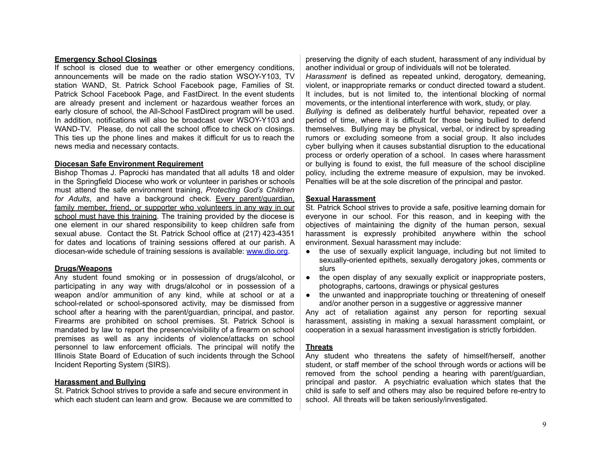#### **Emergency School Closings**

If school is closed due to weather or other emergency conditions, announcements will be made on the radio station WSOY-Y103, TV station WAND, St. Patrick School Facebook page, Families of St. Patrick School Facebook Page, and FastDirect. In the event students are already present and inclement or hazardous weather forces an early closure of school, the All-School FastDirect program will be used. In addition, notifications will also be broadcast over WSOY-Y103 and WAND-TV. Please, do not call the school office to check on closings. This ties up the phone lines and makes it difficult for us to reach the news media and necessary contacts.

#### **Diocesan Safe Environment Requirement**

Bishop Thomas J. Paprocki has mandated that all adults 18 and older in the Springfield Diocese who work or volunteer in parishes or schools must attend the safe environment training, *Protecting God's Children for Adults*, and have a background check. Every parent/guardian, family member, friend, or supporter who volunteers in any way in our school must have this training. The training provided by the diocese is one element in our shared responsibility to keep children safe from sexual abuse. Contact the St. Patrick School office at (217) 423-4351 for dates and locations of training sessions offered at our parish. A diocesan-wide schedule of training sessions is available: [www.dio.org](http://www.dio.org).

#### **Drugs/Weapons**

Any student found smoking or in possession of drugs/alcohol, or participating in any way with drugs/alcohol or in possession of a weapon and/or ammunition of any kind, while at school or at a school-related or school-sponsored activity, may be dismissed from school after a hearing with the parent/guardian, principal, and pastor. Firearms are prohibited on school premises. St. Patrick School is mandated by law to report the presence/visibility of a firearm on school premises as well as any incidents of violence/attacks on school personnel to law enforcement officials. The principal will notify the Illinois State Board of Education of such incidents through the School Incident Reporting System (SIRS).

#### **Harassment and Bullying**

St. Patrick School strives to provide a safe and secure environment in which each student can learn and grow. Because we are committed to preserving the dignity of each student, harassment of any individual by another individual or group of individuals will not be tolerated.

*Harassment* is defined as repeated unkind, derogatory, demeaning, violent, or inappropriate remarks or conduct directed toward a student. It includes, but is not limited to, the intentional blocking of normal movements, or the intentional interference with work, study, or play. *Bullying* is defined as deliberately hurtful behavior, repeated over a period of time, where it is difficult for those being bullied to defend themselves. Bullying may be physical, verbal, or indirect by spreading rumors or excluding someone from a social group. It also includes cyber bullying when it causes substantial disruption to the educational process or orderly operation of a school. In cases where harassment or bullying is found to exist, the full measure of the school discipline policy, including the extreme measure of expulsion, may be invoked. Penalties will be at the sole discretion of the principal and pastor.

#### **Sexual Harassment**

St. Patrick School strives to provide a safe, positive learning domain for everyone in our school. For this reason, and in keeping with the objectives of maintaining the dignity of the human person, sexual harassment is expressly prohibited anywhere within the school environment. Sexual harassment may include:

- the use of sexually explicit language, including but not limited to sexually-oriented epithets, sexually derogatory jokes, comments or slurs
- the open display of any sexually explicit or inappropriate posters, photographs, cartoons, drawings or physical gestures
- the unwanted and inappropriate touching or threatening of oneself and/or another person in a suggestive or aggressive manner

Any act of retaliation against any person for reporting sexual harassment, assisting in making a sexual harassment complaint, or cooperation in a sexual harassment investigation is strictly forbidden.

#### **Threats**

Any student who threatens the safety of himself/herself, another student, or staff member of the school through words or actions will be removed from the school pending a hearing with parent/guardian, principal and pastor. A psychiatric evaluation which states that the child is safe to self and others may also be required before re-entry to school. All threats will be taken seriously/investigated.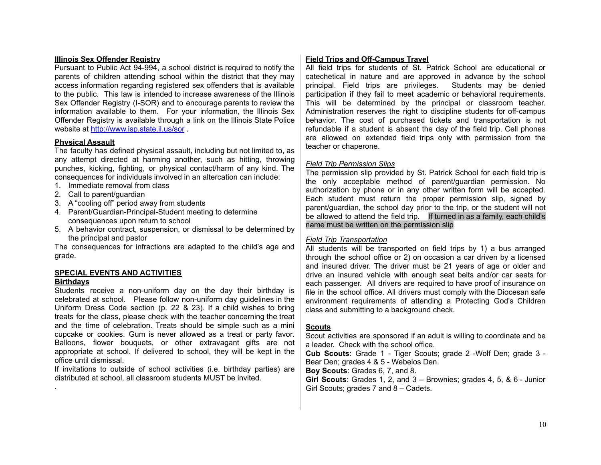#### **Illinois Sex Offender Registry**

Pursuant to Public Act 94-994, a school district is required to notify the parents of children attending school within the district that they may access information regarding registered sex offenders that is available to the public. This law is intended to increase awareness of the Illinois Sex Offender Registry (I-SOR) and to encourage parents to review the information available to them. For your information, the Illinois Sex Offender Registry is available through a link on the Illinois State Police website at <http://www.isp.state.il.us/sor> .

#### **Physical Assault**

The faculty has defined physical assault, including but not limited to, as any attempt directed at harming another, such as hitting, throwing punches, kicking, fighting, or physical contact/harm of any kind. The consequences for individuals involved in an altercation can include:

- 1. Immediate removal from class
- 2. Call to parent/guardian
- 3. A "cooling off" period away from students
- 4. Parent/Guardian-Principal-Student meeting to determine consequences upon return to school
- 5. A behavior contract, suspension, or dismissal to be determined by the principal and pastor

The consequences for infractions are adapted to the child's age and grade.

# **SPECIAL EVENTS AND ACTIVITIES**

# **Birthdays**

.

Students receive a non-uniform day on the day their birthday is celebrated at school. Please follow non-uniform day guidelines in the Uniform Dress Code section (p. 22 & 23). If a child wishes to bring treats for the class, please check with the teacher concerning the treat and the time of celebration. Treats should be simple such as a mini cupcake or cookies. Gum is never allowed as a treat or party favor. Balloons, flower bouquets, or other extravagant gifts are not appropriate at school. If delivered to school, they will be kept in the office until dismissal.

If invitations to outside of school activities (i.e. birthday parties) are distributed at school, all classroom students MUST be invited.

#### **Field Trips and Off-Campus Travel**

All field trips for students of St. Patrick School are educational or catechetical in nature and are approved in advance by the school principal. Field trips are privileges. Students may be denied participation if they fail to meet academic or behavioral requirements. This will be determined by the principal or classroom teacher. Administration reserves the right to discipline students for off-campus behavior. The cost of purchased tickets and transportation is not refundable if a student is absent the day of the field trip. Cell phones are allowed on extended field trips only with permission from the teacher or chaperone.

#### *Field Trip Permission Slips*

The permission slip provided by St. Patrick School for each field trip is the only acceptable method of parent/guardian permission. No authorization by phone or in any other written form will be accepted. Each student must return the proper permission slip, signed by parent/guardian, the school day prior to the trip, or the student will not be allowed to attend the field trip. If turned in as a family, each child's name must be written on the permission slip

#### *Field Trip Transportation*

All students will be transported on field trips by 1) a bus arranged through the school office or 2) on occasion a car driven by a licensed and insured driver. The driver must be 21 years of age or older and drive an insured vehicle with enough seat belts and/or car seats for each passenger. All drivers are required to have proof of insurance on file in the school office. All drivers must comply with the Diocesan safe environment requirements of attending a Protecting God's Children class and submitting to a background check.

#### **Scouts**

Scout activities are sponsored if an adult is willing to coordinate and be a leader. Check with the school office.

**Cub Scouts**: Grade 1 - Tiger Scouts; grade 2 -Wolf Den; grade 3 - Bear Den; grades 4 & 5 - Webelos Den.

**Boy Scouts**: Grades 6, 7, and 8.

**Girl Scouts**: Grades 1, 2, and 3 – Brownies; grades 4, 5, & 6 - Junior Girl Scouts; grades 7 and 8 – Cadets.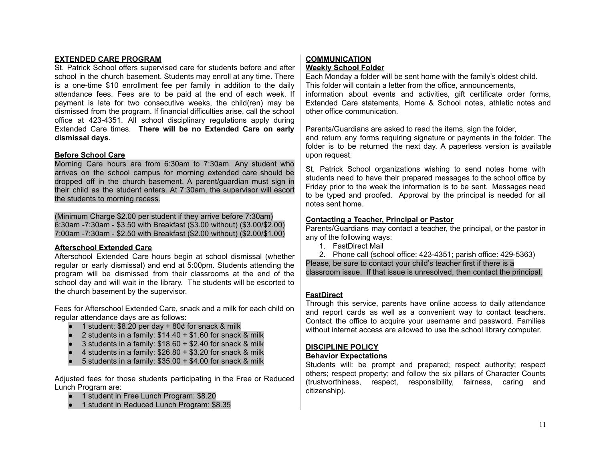### **EXTENDED CARE PROGRAM**

St. Patrick School offers supervised care for students before and after school in the church basement. Students may enroll at any time. There is a one-time \$10 enrollment fee per family in addition to the daily attendance fees. Fees are to be paid at the end of each week. If payment is late for two consecutive weeks, the child(ren) may be dismissed from the program. If financial difficulties arise, call the school office at 423-4351. All school disciplinary regulations apply during Extended Care times. **There will be no Extended Care on early dismissal days.**

#### **Before School Care**

Morning Care hours are from 6:30am to 7:30am. Any student who arrives on the school campus for morning extended care should be dropped off in the church basement. A parent/guardian must sign in their child as the student enters. At 7:30am, the supervisor will escort the students to morning recess.

(Minimum Charge \$2.00 per student if they arrive before 7:30am) 6:30am -7:30am - \$3.50 with Breakfast (\$3.00 without) (\$3.00/\$2.00) 7:00am -7:30am - \$2.50 with Breakfast (\$2.00 without) (\$2.00/\$1.00)

#### **Afterschool Extended Care**

Afterschool Extended Care hours begin at school dismissal (whether regular or early dismissal) and end at 5:00pm. Students attending the program will be dismissed from their classrooms at the end of the school day and will wait in the library. The students will be escorted to the church basement by the supervisor.

Fees for Afterschool Extended Care, snack and a milk for each child on regular attendance days are as follows:

- 1 student: \$8.20 per day  $+$  80 $¢$  for snack & milk
- 2 students in a family:  $$14.40 + $1.60$  for snack & milk
- 3 students in a family:  $$18.60 + $2.40$  for snack & milk
- 4 students in a family:  $$26.80 + $3.20$  for snack & milk
- $\bullet$  5 students in a family: \$35.00  $+$  \$4.00 for snack & milk

Adjusted fees for those students participating in the Free or Reduced Lunch Program are:

- 1 student in Free Lunch Program: \$8.20
- 1 student in Reduced Lunch Program: \$8.35

# **COMMUNICATION Weekly School Folder**

Each Monday a folder will be sent home with the family's oldest child. This folder will contain a letter from the office, announcements, information about events and activities, gift certificate order forms, Extended Care statements, Home & School notes, athletic notes and other office communication.

Parents/Guardians are asked to read the items, sign the folder, and return any forms requiring signature or payments in the folder. The folder is to be returned the next day. A paperless version is available upon request.

St. Patrick School organizations wishing to send notes home with students need to have their prepared messages to the school office by Friday prior to the week the information is to be sent. Messages need to be typed and proofed. Approval by the principal is needed for all notes sent home.

# **Contacting a Teacher, Principal or Pastor**

Parents/Guardians may contact a teacher, the principal, or the pastor in any of the following ways:

1. FastDirect Mail

2. Phone call (school office: 423-4351; parish office: 429-5363) Please, be sure to contact your child's teacher first if there is a classroom issue. If that issue is unresolved, then contact the principal.

# **FastDirect**

Through this service, parents have online access to daily attendance and report cards as well as a convenient way to contact teachers. Contact the office to acquire your username and password. Families without internet access are allowed to use the school library computer.

# **DISCIPLINE POLICY**

#### **Behavior Expectations**

Students will: be prompt and prepared; respect authority; respect others; respect property; and follow the six pillars of Character Counts (trustworthiness, respect, responsibility, fairness, caring and citizenship).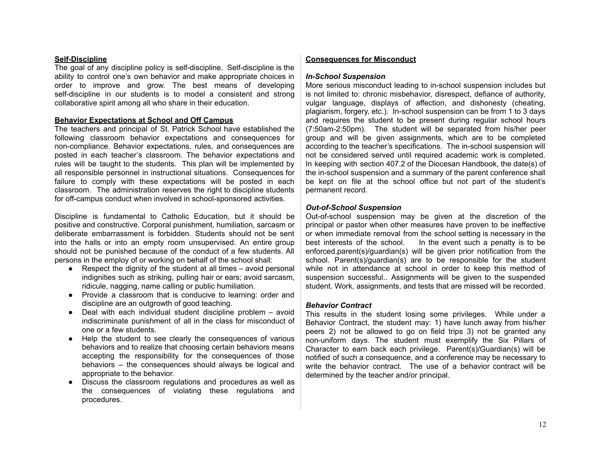#### **Self-Discipline**

The goal of any discipline policy is self-discipline. Self-discipline is the ability to control one's own behavior and make appropriate choices in order to improve and grow. The best means of developing self-discipline in our students is to model a consistent and strong collaborative spirit among all who share in their education.

#### **Behavior Expectations at School and Off Campus**

The teachers and principal of St. Patrick School have established the following classroom behavior expectations and consequences for non-compliance. Behavior expectations, rules, and consequences are posted in each teacher's classroom. The behavior expectations and rules will be taught to the students. This plan will be implemented by all responsible personnel in instructional situations. Consequences for failure to comply with these expectations will be posted in each classroom. The administration reserves the right to discipline students for off-campus conduct when involved in school-sponsored activities.

Discipline is fundamental to Catholic Education, but it should be positive and constructive. Corporal punishment, humiliation, sarcasm or deliberate embarrassment is forbidden. Students should not be sent into the halls or into an empty room unsupervised. An entire group should not be punished because of the conduct of a few students. All persons in the employ of or working on behalf of the school shall:

- $\bullet$  Respect the dignity of the student at all times avoid personal indignities such as striking, pulling hair or ears; avoid sarcasm, ridicule, nagging, name calling or public humiliation.
- Provide a classroom that is conducive to learning: order and discipline are an outgrowth of good teaching.
- $\bullet$  Deal with each individual student discipline problem avoid indiscriminate punishment of all in the class for misconduct of one or a few students.
- Help the student to see clearly the consequences of various behaviors and to realize that choosing certain behaviors means accepting the responsibility for the consequences of those behaviors – the consequences should always be logical and appropriate to the behavior.
- Discuss the classroom regulations and procedures as well as the consequences of violating these regulations and procedures.

#### **Consequences for Misconduct**

#### *In-School Suspension*

More serious misconduct leading to in-school suspension includes but is not limited to: chronic misbehavior, disrespect, defiance of authority, vulgar language, displays of affection, and dishonesty (cheating, plagiarism, forgery, etc.). In-school suspension can be from 1 to 3 days and requires the student to be present during regular school hours (7:50am-2:50pm). The student will be separated from his/her peer group and will be given assignments, which are to be completed according to the teacher's specifications. The in-school suspension will not be considered served until required academic work is completed. In keeping with section 407.2 of the Diocesan Handbook, the date(s) of the in-school suspension and a summary of the parent conference shall be kept on file at the school office but not part of the student's permanent record.

#### *Out-of-School Suspension*

Out-of-school suspension may be given at the discretion of the principal or pastor when other measures have proven to be ineffective or when immediate removal from the school setting is necessary in the best interests of the school. In the event such a penalty is to be enforced,parent(s)/guardian(s) will be given prior notification from the school. Parent(s)/guardian(s) are to be responsible for the student while not in attendance at school in order to keep this method of suspension successful.. Assignments will be given to the suspended student. Work, assignments, and tests that are missed will be recorded.

#### *Behavior Contract*

This results in the student losing some privileges. While under a Behavior Contract, the student may: 1) have lunch away from his/her peers 2) not be allowed to go on field trips 3) not be granted any non-uniform days. The student must exemplify the Six Pillars of Character to earn back each privilege. Parent(s)/Guardian(s) will be notified of such a consequence, and a conference may be necessary to write the behavior contract. The use of a behavior contract will be determined by the teacher and/or principal.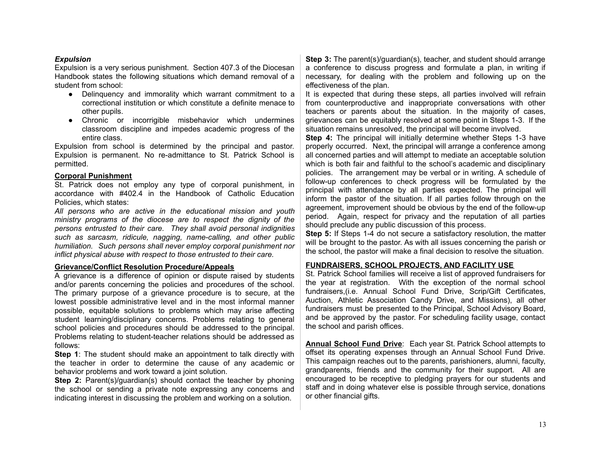#### *Expulsion*

Expulsion is a very serious punishment. Section 407.3 of the Diocesan Handbook states the following situations which demand removal of a student from school:

- Delinquency and immorality which warrant commitment to a correctional institution or which constitute a definite menace to other pupils.
- Chronic or incorrigible misbehavior which undermines classroom discipline and impedes academic progress of the entire class.

Expulsion from school is determined by the principal and pastor. Expulsion is permanent. No re-admittance to St. Patrick School is permitted.

#### **Corporal Punishment**

St. Patrick does not employ any type of corporal punishment, in accordance with #402.4 in the Handbook of Catholic Education Policies, which states:

*All persons who are active in the educational mission and youth ministry programs of the diocese are to respect the dignity of the persons entrusted to their care. They shall avoid personal indignities such as sarcasm, ridicule, nagging, name-calling, and other public humiliation. Such persons shall never employ corporal punishment nor inflict physical abuse with respect to those entrusted to their care.*

#### **Grievance/Conflict Resolution Procedure/Appeals**

A grievance is a difference of opinion or dispute raised by students and/or parents concerning the policies and procedures of the school. The primary purpose of a grievance procedure is to secure, at the lowest possible administrative level and in the most informal manner possible, equitable solutions to problems which may arise affecting student learning/disciplinary concerns. Problems relating to general school policies and procedures should be addressed to the principal. Problems relating to student-teacher relations should be addressed as follows:

**Step 1**: The student should make an appointment to talk directly with the teacher in order to determine the cause of any academic or behavior problems and work toward a joint solution.

**Step 2:** Parent(s)/guardian(s) should contact the teacher by phoning the school or sending a private note expressing any concerns and indicating interest in discussing the problem and working on a solution.

**Step 3:** The parent(s)/guardian(s), teacher, and student should arrange a conference to discuss progress and formulate a plan, in writing if necessary, for dealing with the problem and following up on the effectiveness of the plan.

It is expected that during these steps, all parties involved will refrain from counterproductive and inappropriate conversations with other teachers or parents about the situation. In the majority of cases, grievances can be equitably resolved at some point in Steps 1-3. If the situation remains unresolved, the principal will become involved.

**Step 4:** The principal will initially determine whether Steps 1-3 have properly occurred. Next, the principal will arrange a conference among all concerned parties and will attempt to mediate an acceptable solution which is both fair and faithful to the school's academic and disciplinary policies. The arrangement may be verbal or in writing. A schedule of follow-up conferences to check progress will be formulated by the principal with attendance by all parties expected. The principal will inform the pastor of the situation. If all parties follow through on the agreement, improvement should be obvious by the end of the follow-up period. Again, respect for privacy and the reputation of all parties should preclude any public discussion of this process.

**Step 5:** If Steps 1-4 do not secure a satisfactory resolution, the matter will be brought to the pastor. As with all issues concerning the parish or the school, the pastor will make a final decision to resolve the situation.

#### **FUNDRAISERS, SCHOOL PROJECTS, AND FACILITY USE**

St. Patrick School families will receive a list of approved fundraisers for the year at registration. With the exception of the normal school fundraisers,(i.e. Annual School Fund Drive, Scrip/Gift Certificates, Auction, Athletic Association Candy Drive, and Missions), all other fundraisers must be presented to the Principal, School Advisory Board, and be approved by the pastor. For scheduling facility usage, contact the school and parish offices.

**Annual School Fund Drive**: Each year St. Patrick School attempts to offset its operating expenses through an Annual School Fund Drive. This campaign reaches out to the parents, parishioners, alumni, faculty, grandparents, friends and the community for their support. All are encouraged to be receptive to pledging prayers for our students and staff and in doing whatever else is possible through service, donations or other financial gifts.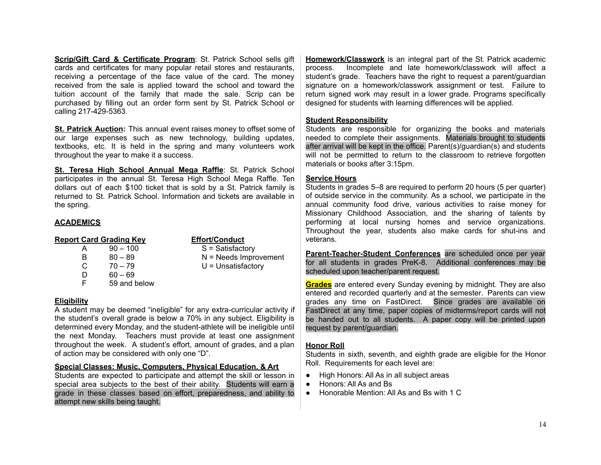**Scrip/Gift Card & Certificate Program**: St. Patrick School sells gift cards and certificates for many popular retail stores and restaurants, receiving a percentage of the face value of the card. The money received from the sale is applied toward the school and toward the tuition account of the family that made the sale. Scrip can be purchased by filling out an order form sent by St. Patrick School or calling 217-429-5363.

**St. Patrick Auction:** This annual event raises money to offset some of our large expenses such as new technology, building updates, textbooks, etc. It is held in the spring and many volunteers work throughout the year to make it a success.

**St. Teresa High School Annual Mega Raffle**: St. Patrick School participates in the annual St. Teresa High School Mega Raffle. Ten dollars out of each \$100 ticket that is sold by a St. Patrick family is returned to St. Patrick School. Information and tickets are available in the spring.

#### **ACADEMICS**

# **Report Card Grading Key Effort/Conduct**

- A 90 100 S = Satisfactory B 80 – 89 N = Needs Improvement  $C \t 70 - 79$  U = Unsatisfactory  $D = 60 - 69$
- F 59 and below
- -

# **Eligibility**

A student may be deemed "ineligible" for any extra-curricular activity if the student's overall grade is below a 70% in any subject. Eligibility is determined every Monday, and the student-athlete will be ineligible until the next Monday. Teachers must provide at least one assignment throughout the week. A student's effort, amount of grades, and a plan of action may be considered with only one "D".

# **Special Classes: Music, Computers, Physical Education, & Art**

Students are expected to participate and attempt the skill or lesson in special area subjects to the best of their ability. Students will earn a grade in these classes based on effort, preparedness, and ability to attempt new skills being taught.

**Homework/Classwork** is an integral part of the St. Patrick academic process. Incomplete and late homework/classwork will affect a student's grade. Teachers have the right to request a parent/guardian signature on a homework/classwork assignment or test. Failure to return signed work may result in a lower grade. Programs specifically designed for students with learning differences will be applied.

#### **Student Responsibility**

Students are responsible for organizing the books and materials needed to complete their assignments. Materials brought to students after arrival will be kept in the office. Parent(s)/guardian(s) and students will not be permitted to return to the classroom to retrieve forgotten materials or books after 3:15pm.

#### **Service Hours**

Students in grades 5–8 are required to perform 20 hours (5 per quarter) of outside service in the community. As a school, we participate in the annual community food drive, various activities to raise money for Missionary Childhood Association, and the sharing of talents by performing at local nursing homes and service organizations. Throughout the year, students also make cards for shut-ins and veterans.

**Parent-Teacher-Student Conferences** are scheduled once per year for all students in grades PreK-8. Additional conferences may be scheduled upon teacher/parent request.

**Grades** are entered every Sunday evening by midnight. They are also entered and recorded quarterly and at the semester. Parents can view grades any time on FastDirect. Since grades are available on FastDirect at any time, paper copies of midterms/report cards will not be handed out to all students. A paper copy will be printed upon request by parent/guardian.

#### **Honor Roll**

Students in sixth, seventh, and eighth grade are eligible for the Honor Roll. Requirements for each level are:

- High Honors: All As in all subject areas
- Honors: All As and Bs
- Honorable Mention: All As and Bs with 1 C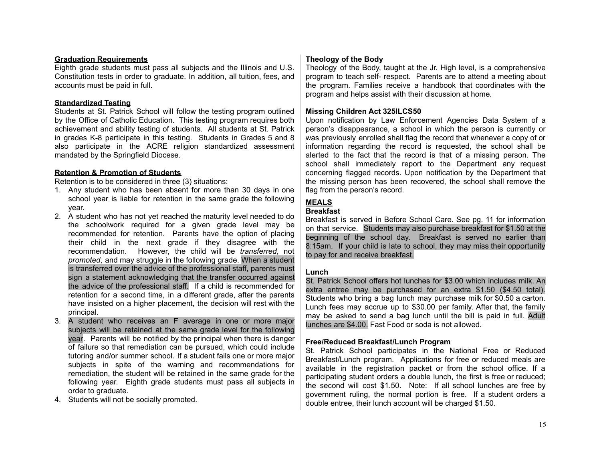#### **Graduation Requirements**

Eighth grade students must pass all subjects and the Illinois and U.S. Constitution tests in order to graduate. In addition, all tuition, fees, and accounts must be paid in full.

# **Standardized Testing**

Students at St. Patrick School will follow the testing program outlined by the Office of Catholic Education. This testing program requires both achievement and ability testing of students. All students at St. Patrick in grades K-8 participate in this testing. Students in Grades 5 and 8 also participate in the ACRE religion standardized assessment mandated by the Springfield Diocese.

# **Retention & Promotion of Students**

Retention is to be considered in three (3) situations:

- 1. Any student who has been absent for more than 30 days in one school year is liable for retention in the same grade the following year.
- 2. A student who has not yet reached the maturity level needed to do the schoolwork required for a given grade level may be recommended for retention. Parents have the option of placing their child in the next grade if they disagree with the recommendation. However, the child will be *transferred*, not *promoted*, and may struggle in the following grade. When a student is transferred over the advice of the professional staff, parents must sign a statement acknowledging that the transfer occurred against the advice of the professional staff. If a child is recommended for retention for a second time, in a different grade, after the parents have insisted on a higher placement, the decision will rest with the principal.
- 3. A student who receives an F average in one or more major subjects will be retained at the same grade level for the following year. Parents will be notified by the principal when there is danger of failure so that remediation can be pursued, which could include tutoring and/or summer school. If a student fails one or more major subjects in spite of the warning and recommendations for remediation, the student will be retained in the same grade for the following year. Eighth grade students must pass all subjects in order to graduate.
- 4. Students will not be socially promoted.

# **Theology of the Body**

Theology of the Body, taught at the Jr. High level, is a comprehensive program to teach self- respect. Parents are to attend a meeting about the program. Families receive a handbook that coordinates with the program and helps assist with their discussion at home.

#### **Missing Children Act 325ILCS50**

Upon notification by Law Enforcement Agencies Data System of a person's disappearance, a school in which the person is currently or was previously enrolled shall flag the record that whenever a copy of or information regarding the record is requested, the school shall be alerted to the fact that the record is that of a missing person. The school shall immediately report to the Department any request concerning flagged records. Upon notification by the Department that the missing person has been recovered, the school shall remove the flag from the person's record.

# **MEALS**

#### **Breakfast**

Breakfast is served in Before School Care. See pg. 11 for information on that service. Students may also purchase breakfast for \$1.50 at the beginning of the school day. Breakfast is served no earlier than 8:15am. If your child is late to school, they may miss their opportunity to pay for and receive breakfast.

#### **Lunch**

St. Patrick School offers hot lunches for \$3.00 which includes milk. An extra entree may be purchased for an extra \$1.50 (\$4.50 total). Students who bring a bag lunch may purchase milk for \$0.50 a carton. Lunch fees may accrue up to \$30.00 per family. After that, the family may be asked to send a bag lunch until the bill is paid in full. Adult lunches are \$4.00. Fast Food or soda is not allowed.

#### **Free/Reduced Breakfast/Lunch Program**

St. Patrick School participates in the National Free or Reduced Breakfast/Lunch program. Applications for free or reduced meals are available in the registration packet or from the school office. If a participating student orders a double lunch, the first is free or reduced; the second will cost \$1.50. Note: If all school lunches are free by government ruling, the normal portion is free. If a student orders a double entree, their lunch account will be charged \$1.50.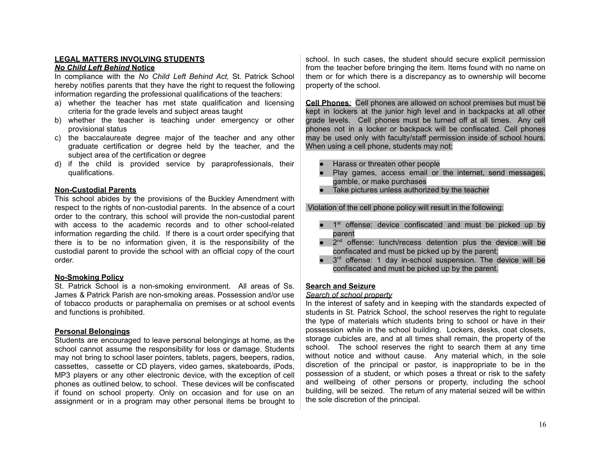# **LEGAL MATTERS INVOLVING STUDENTS**

#### *No Child Left Behind* **Notice**

In compliance with the *No Child Left Behind Act,* St. Patrick School hereby notifies parents that they have the right to request the following information regarding the professional qualifications of the teachers:

- a) whether the teacher has met state qualification and licensing criteria for the grade levels and subject areas taught
- b) whether the teacher is teaching under emergency or other provisional status
- c) the baccalaureate degree major of the teacher and any other graduate certification or degree held by the teacher, and the subject area of the certification or degree
- d) if the child is provided service by paraprofessionals, their qualifications.

#### **Non-Custodial Parents**

This school abides by the provisions of the Buckley Amendment with respect to the rights of non-custodial parents. In the absence of a court order to the contrary, this school will provide the non-custodial parent with access to the academic records and to other school-related information regarding the child. If there is a court order specifying that there is to be no information given, it is the responsibility of the custodial parent to provide the school with an official copy of the court order.

#### **No-Smoking Policy**

St. Patrick School is a non-smoking environment. All areas of Ss. James & Patrick Parish are non-smoking areas. Possession and/or use of tobacco products or paraphernalia on premises or at school events and functions is prohibited.

#### **Personal Belongings**

Students are encouraged to leave personal belongings at home, as the school cannot assume the responsibility for loss or damage. Students may not bring to school laser pointers, tablets, pagers, beepers, radios, cassettes, cassette or CD players, video games, skateboards, iPods, MP3 players or any other electronic device, with the exception of cell phones as outlined below, to school. These devices will be confiscated if found on school property. Only on occasion and for use on an assignment or in a program may other personal items be brought to school. In such cases, the student should secure explicit permission from the teacher before bringing the item. Items found with no name on them or for which there is a discrepancy as to ownership will become property of the school.

**Cell Phones***:* Cell phones are allowed on school premises but must be kept in lockers at the junior high level and in backpacks at all other grade levels. Cell phones must be turned off at all times. Any cell phones not in a locker or backpack will be confiscated. Cell phones may be used only with faculty/staff permission inside of school hours. When using a cell phone, students may not:

- Harass or threaten other people
- Play games, access email or the internet, send messages, gamble, or make purchases
- Take pictures unless authorized by the teacher

Violation of the cell phone policy will result in the following:

- 1<sup>st</sup> offense: device confiscated and must be picked up by parent
- 2<sup>nd</sup> offense: lunch/recess detention plus the device will be confiscated and must be picked up by the parent;
- 3<sup>rd</sup> offense: 1 day in-school suspension. The device will be confiscated and must be picked up by the parent.

#### **Search and Seizure**

#### *Search of school property*

In the interest of safety and in keeping with the standards expected of students in St. Patrick School, the school reserves the right to regulate the type of materials which students bring to school or have in their possession while in the school building. Lockers, desks, coat closets, storage cubicles are, and at all times shall remain, the property of the school. The school reserves the right to search them at any time without notice and without cause. Any material which, in the sole discretion of the principal or pastor, is inappropriate to be in the possession of a student, or which poses a threat or risk to the safety and wellbeing of other persons or property, including the school building, will be seized. The return of any material seized will be within the sole discretion of the principal.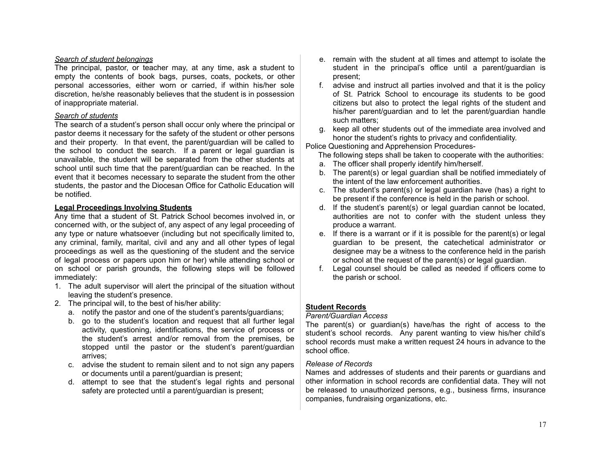#### *Search of student belongings*

The principal, pastor, or teacher may, at any time, ask a student to empty the contents of book bags, purses, coats, pockets, or other personal accessories, either worn or carried, if within his/her sole discretion, he/she reasonably believes that the student is in possession of inappropriate material.

#### *Search of students*

The search of a student's person shall occur only where the principal or pastor deems it necessary for the safety of the student or other persons and their property. In that event, the parent/guardian will be called to the school to conduct the search. If a parent or legal guardian is unavailable, the student will be separated from the other students at school until such time that the parent/guardian can be reached. In the event that it becomes necessary to separate the student from the other students, the pastor and the Diocesan Office for Catholic Education will be notified.

#### **Legal Proceedings Involving Students**

Any time that a student of St. Patrick School becomes involved in, or concerned with, or the subject of, any aspect of any legal proceeding of any type or nature whatsoever (including but not specifically limited to, any criminal, family, marital, civil and any and all other types of legal proceedings as well as the questioning of the student and the service of legal process or papers upon him or her) while attending school or on school or parish grounds, the following steps will be followed immediately:

- 1. The adult supervisor will alert the principal of the situation without leaving the student's presence.
- 2. The principal will, to the best of his/her ability:
	- a. notify the pastor and one of the student's parents/guardians;
	- b. go to the student's location and request that all further legal activity, questioning, identifications, the service of process or the student's arrest and/or removal from the premises, be stopped until the pastor or the student's parent/quardian arrives;
	- c. advise the student to remain silent and to not sign any papers or documents until a parent/guardian is present;
	- d. attempt to see that the student's legal rights and personal safety are protected until a parent/guardian is present;
- e. remain with the student at all times and attempt to isolate the student in the principal's office until a parent/guardian is present;
- f. advise and instruct all parties involved and that it is the policy of St. Patrick School to encourage its students to be good citizens but also to protect the legal rights of the student and his/her parent/guardian and to let the parent/guardian handle such matters;
- g. keep all other students out of the immediate area involved and honor the student's rights to privacy and confidentiality.

Police Questioning and Apprehension Procedures-

The following steps shall be taken to cooperate with the authorities:

- a. The officer shall properly identify him/herself.
- b. The parent(s) or legal guardian shall be notified immediately of the intent of the law enforcement authorities.
- c. The student's parent(s) or legal guardian have (has) a right to be present if the conference is held in the parish or school.
- d. If the student's parent(s) or legal guardian cannot be located, authorities are not to confer with the student unless they produce a warrant.
- e. If there is a warrant or if it is possible for the parent(s) or legal guardian to be present, the catechetical administrator or designee may be a witness to the conference held in the parish or school at the request of the parent(s) or legal guardian.
- f. Legal counsel should be called as needed if officers come to the parish or school.

# **Student Records**

#### *Parent/Guardian Access*

The parent(s) or guardian(s) have/has the right of access to the student's school records. Any parent wanting to view his/her child's school records must make a written request 24 hours in advance to the school office.

#### *Release of Records*

Names and addresses of students and their parents or guardians and other information in school records are confidential data. They will not be released to unauthorized persons, e.g., business firms, insurance companies, fundraising organizations, etc.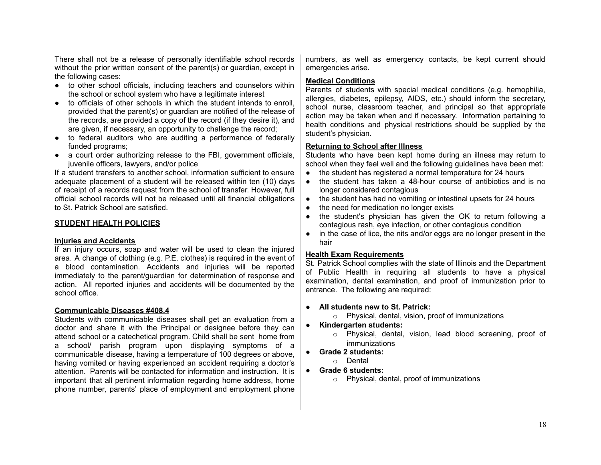There shall not be a release of personally identifiable school records without the prior written consent of the parent(s) or guardian, except in the following cases:

- to other school officials, including teachers and counselors within the school or school system who have a legitimate interest
- to officials of other schools in which the student intends to enroll, provided that the parent(s) or guardian are notified of the release of the records, are provided a copy of the record (if they desire it), and are given, if necessary, an opportunity to challenge the record;
- to federal auditors who are auditing a performance of federally funded programs;
- a court order authorizing release to the FBI, government officials, juvenile officers, lawyers, and/or police

If a student transfers to another school, information sufficient to ensure adequate placement of a student will be released within ten (10) days of receipt of a records request from the school of transfer. However, full official school records will not be released until all financial obligations to St. Patrick School are satisfied.

#### **STUDENT HEALTH POLICIES**

#### **Injuries and Accidents**

If an injury occurs, soap and water will be used to clean the injured area. A change of clothing (e.g. P.E. clothes) is required in the event of a blood contamination. Accidents and injuries will be reported immediately to the parent/guardian for determination of response and action. All reported injuries and accidents will be documented by the school office.

#### **Communicable Diseases #408.4**

Students with communicable diseases shall get an evaluation from a doctor and share it with the Principal or designee before they can attend school or a catechetical program. Child shall be sent home from a school/ parish program upon displaying symptoms of a communicable disease, having a temperature of 100 degrees or above, having vomited or having experienced an accident requiring a doctor's attention. Parents will be contacted for information and instruction. It is important that all pertinent information regarding home address, home phone number, parents' place of employment and employment phone numbers, as well as emergency contacts, be kept current should emergencies arise.

#### **Medical Conditions**

Parents of students with special medical conditions (e.g. hemophilia, allergies, diabetes, epilepsy, AIDS, etc.) should inform the secretary, school nurse, classroom teacher, and principal so that appropriate action may be taken when and if necessary. Information pertaining to health conditions and physical restrictions should be supplied by the student's physician.

#### **Returning to School after Illness**

Students who have been kept home during an illness may return to school when they feel well and the following guidelines have been met:

- the student has registered a normal temperature for 24 hours
- the student has taken a 48-hour course of antibiotics and is no longer considered contagious
- the student has had no vomiting or intestinal upsets for 24 hours
- the need for medication no longer exists
- the student's physician has given the OK to return following a contagious rash, eye infection, or other contagious condition
- in the case of lice, the nits and/or eggs are no longer present in the hair

#### **Health Exam Requirements**

St. Patrick School complies with the state of Illinois and the Department of Public Health in requiring all students to have a physical examination, dental examination, and proof of immunization prior to entrance. The following are required:

#### **● All students new to St. Patrick:**

- o Physical, dental, vision, proof of immunizations
- **● Kindergarten students:**
	- o Physical, dental, vision, lead blood screening, proof of immunizations
- **● Grade 2 students:**
	- o Dental
- **● Grade 6 students:**
	- o Physical, dental, proof of immunizations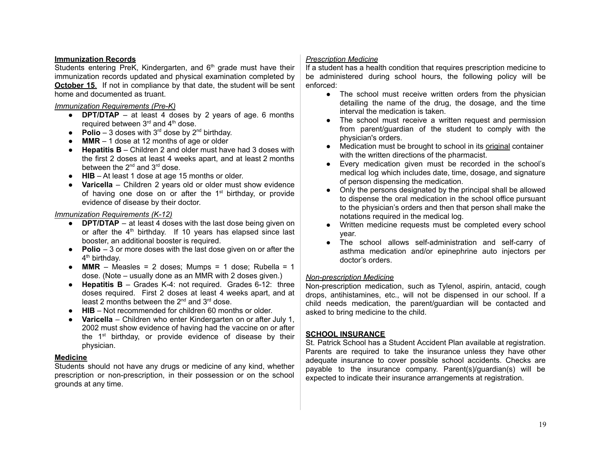#### **Immunization Records**

Students entering PreK, Kindergarten, and 6<sup>th</sup> grade must have their immunization records updated and physical examination completed by **October 15.** If not in compliance by that date, the student will be sent home and documented as truant.

#### *Immunization Requirements (Pre-K)*

- **DPT/DTAP** at least 4 doses by 2 years of age. 6 months required between 3<sup>rd</sup> and 4<sup>th</sup> dose.
- **Polio** 3 doses with  $3^{rd}$  dose by  $2^{nd}$  birthday.
- **MMR** 1 dose at 12 months of age or older
- **Hepatitis B** Children 2 and older must have had 3 doses with the first 2 doses at least 4 weeks apart, and at least 2 months between the  $2^{nd}$  and  $3^{rd}$  dose.
- **HIB** At least 1 dose at age 15 months or older.
- **Varicella** Children 2 years old or older must show evidence of having one dose on or after the 1<sup>st</sup> birthday, or provide evidence of disease by their doctor.

#### *Immunization Requirements (K-12)*

- **DPT/DTAP** at least 4 doses with the last dose being given on or after the  $4<sup>th</sup>$  birthday. If 10 years has elapsed since last booster, an additional booster is required.
- **Polio** 3 or more doses with the last dose given on or after the 4<sup>th</sup> birthday.
- $\bullet$  **MMR** Measles = 2 doses; Mumps = 1 dose; Rubella = 1 dose. (Note – usually done as an MMR with 2 doses given.)
- **Hepatitis B** Grades K-4: not required. Grades 6-12: three doses required. First 2 doses at least 4 weeks apart, and at least 2 months between the  $2^{nd}$  and  $3^{rd}$  dose.
- **HIB** Not recommended for children 60 months or older.
- **Varicella** Children who enter Kindergarten on or after July 1, 2002 must show evidence of having had the vaccine on or after the 1<sup>st</sup> birthday, or provide evidence of disease by their physician.

#### **Medicine**

Students should not have any drugs or medicine of any kind, whether prescription or non-prescription, in their possession or on the school grounds at any time.

### *Prescription Medicine*

If a student has a health condition that requires prescription medicine to be administered during school hours, the following policy will be enforced:

- The school must receive written orders from the physician detailing the name of the drug, the dosage, and the time interval the medication is taken.
- The school must receive a written request and permission from parent/guardian of the student to comply with the physician's orders.
- Medication must be brought to school in its original container with the written directions of the pharmacist.
- Every medication given must be recorded in the school's medical log which includes date, time, dosage, and signature of person dispensing the medication.
- Only the persons designated by the principal shall be allowed to dispense the oral medication in the school office pursuant to the physician's orders and then that person shall make the notations required in the medical log.
- Written medicine requests must be completed every school year.
- The school allows self-administration and self-carry of asthma medication and/or epinephrine auto injectors per doctor's orders.

#### *Non-prescription Medicine*

Non-prescription medication, such as Tylenol, aspirin, antacid, cough drops, antihistamines, etc., will not be dispensed in our school. If a child needs medication, the parent/guardian will be contacted and asked to bring medicine to the child.

#### **SCHOOL INSURANCE**

St. Patrick School has a Student Accident Plan available at registration. Parents are required to take the insurance unless they have other adequate insurance to cover possible school accidents. Checks are payable to the insurance company. Parent(s)/guardian(s) will be expected to indicate their insurance arrangements at registration.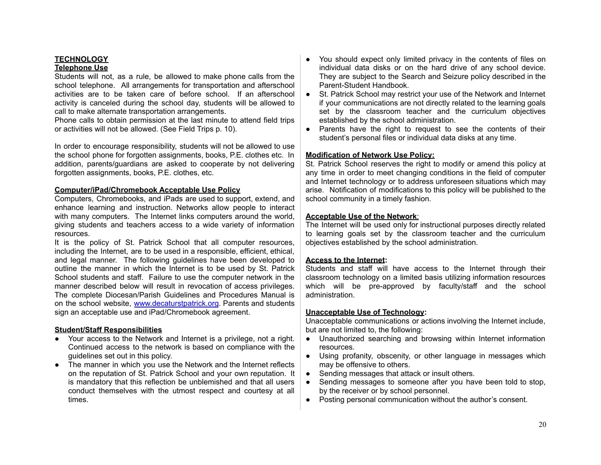# **TECHNOLOGY**

#### **Telephone Use**

Students will not, as a rule, be allowed to make phone calls from the school telephone. All arrangements for transportation and afterschool activities are to be taken care of before school. If an afterschool activity is canceled during the school day, students will be allowed to call to make alternate transportation arrangements.

Phone calls to obtain permission at the last minute to attend field trips or activities will not be allowed. (See Field Trips p. 10).

In order to encourage responsibility, students will not be allowed to use the school phone for forgotten assignments, books, P.E. clothes etc. In addition, parents/guardians are asked to cooperate by not delivering forgotten assignments, books, P.E. clothes, etc.

#### **Computer/iPad/Chromebook Acceptable Use Policy**

Computers, Chromebooks, and iPads are used to support, extend, and enhance learning and instruction. Networks allow people to interact with many computers. The Internet links computers around the world, giving students and teachers access to a wide variety of information resources.

It is the policy of St. Patrick School that all computer resources, including the Internet, are to be used in a responsible, efficient, ethical, and legal manner. The following guidelines have been developed to outline the manner in which the Internet is to be used by St. Patrick School students and staff. Failure to use the computer network in the manner described below will result in revocation of access privileges. The complete Diocesan/Parish Guidelines and Procedures Manual is on the school website, [www.decaturstpatrick.org](http://www.decaturstpatrick.org). Parents and students sign an acceptable use and iPad/Chromebook agreement.

#### **Student/Staff Responsibilities**

- Your access to the Network and Internet is a privilege, not a right. Continued access to the network is based on compliance with the guidelines set out in this policy.
- The manner in which you use the Network and the Internet reflects on the reputation of St. Patrick School and your own reputation. It is mandatory that this reflection be unblemished and that all users conduct themselves with the utmost respect and courtesy at all times.
- You should expect only limited privacy in the contents of files on individual data disks or on the hard drive of any school device. They are subject to the Search and Seizure policy described in the Parent-Student Handbook.
- St. Patrick School may restrict your use of the Network and Internet if your communications are not directly related to the learning goals set by the classroom teacher and the curriculum objectives established by the school administration.
- Parents have the right to request to see the contents of their student's personal files or individual data disks at any time.

#### **Modification of Network Use Policy:**

St. Patrick School reserves the right to modify or amend this policy at any time in order to meet changing conditions in the field of computer and Internet technology or to address unforeseen situations which may arise. Notification of modifications to this policy will be published to the school community in a timely fashion.

#### **Acceptable Use of the Network**:

The Internet will be used only for instructional purposes directly related to learning goals set by the classroom teacher and the curriculum objectives established by the school administration.

#### **Access to the Internet:**

Students and staff will have access to the Internet through their classroom technology on a limited basis utilizing information resources which will be pre-approved by faculty/staff and the school administration.

#### **Unacceptable Use of Technology:**

Unacceptable communications or actions involving the Internet include, but are not limited to, the following:

- Unauthorized searching and browsing within Internet information resources.
- Using profanity, obscenity, or other language in messages which may be offensive to others.
- Sending messages that attack or insult others.
- Sending messages to someone after you have been told to stop, by the receiver or by school personnel.
- Posting personal communication without the author's consent.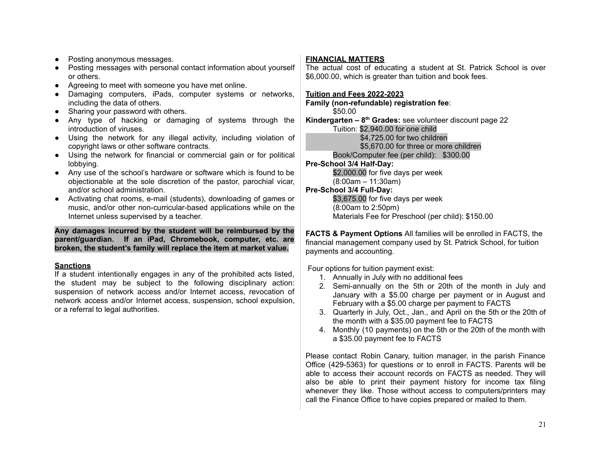- Posting anonymous messages.
- Posting messages with personal contact information about yourself or others.
- Agreeing to meet with someone you have met online.
- Damaging computers, iPads, computer systems or networks, including the data of others.
- Sharing your password with others.
- Any type of hacking or damaging of systems through the introduction of viruses.
- Using the network for any illegal activity, including violation of copyright laws or other software contracts.
- Using the network for financial or commercial gain or for political lobbying.
- Any use of the school's hardware or software which is found to be objectionable at the sole discretion of the pastor, parochial vicar, and/or school administration.
- Activating chat rooms, e-mail (students), downloading of games or music, and/or other non-curricular-based applications while on the Internet unless supervised by a teacher.

**Any damages incurred by the student will be reimbursed by the parent/guardian. If an iPad, Chromebook, computer, etc. are broken, the student's family will replace the item at market value.**

#### **Sanctions**

If a student intentionally engages in any of the prohibited acts listed, the student may be subject to the following disciplinary action: suspension of network access and/or Internet access, revocation of network access and/or Internet access, suspension, school expulsion, or a referral to legal authorities.

# **FINANCIAL MATTERS**

The actual cost of educating a student at St. Patrick School is over \$6,000.00, which is greater than tuition and book fees.

#### **Tuition and Fees 2022-2023**

**Family (non-refundable) registration fee**: \$50.00

**Kindergarten – 8 th Grades:** see volunteer discount page 22 Tuition: \$2,940.00 for one child \$4,725.00 for two children

\$5,670.00 for three or more children

Book/Computer fee (per child): \$300.00

# **Pre-School 3/4 Half-Day:**

\$2,000.00 for five days per week (8:00am – 11:30am)

# **Pre-School 3/4 Full-Day:**

\$3,675.00 for five days per week (8:00am to 2:50pm) Materials Fee for Preschool (per child): \$150.00

**FACTS & Payment Options** All families will be enrolled in FACTS, the financial management company used by St. Patrick School, for tuition payments and accounting.

Four options for tuition payment exist:

- 1. Annually in July with no additional fees
- 2. Semi-annually on the 5th or 20th of the month in July and January with a \$5.00 charge per payment or in August and February with a \$5.00 charge per payment to FACTS
- 3. Quarterly in July, Oct., Jan., and April on the 5th or the 20th of the month with a \$35.00 payment fee to FACTS
- 4. Monthly (10 payments) on the 5th or the 20th of the month with a \$35.00 payment fee to FACTS

Please contact Robin Canary, tuition manager, in the parish Finance Office (429-5363) for questions or to enroll in FACTS. Parents will be able to access their account records on FACTS as needed. They will also be able to print their payment history for income tax filing whenever they like. Those without access to computers/printers may call the Finance Office to have copies prepared or mailed to them.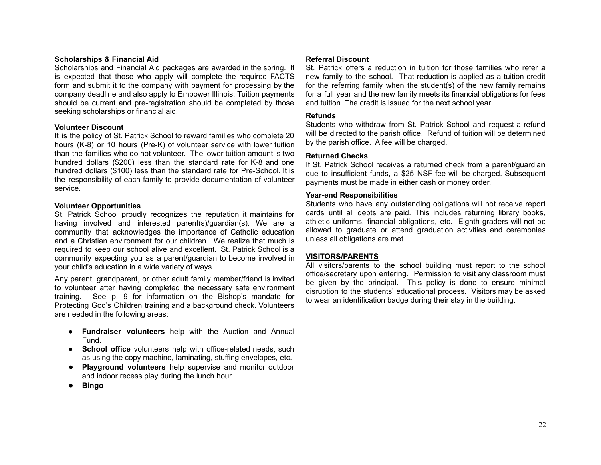#### **Scholarships & Financial Aid**

Scholarships and Financial Aid packages are awarded in the spring. It is expected that those who apply will complete the required FACTS form and submit it to the company with payment for processing by the company deadline and also apply to Empower Illinois. Tuition payments should be current and pre-registration should be completed by those seeking scholarships or financial aid.

#### **Volunteer Discount**

It is the policy of St. Patrick School to reward families who complete 20 hours (K-8) or 10 hours (Pre-K) of volunteer service with lower tuition than the families who do not volunteer. The lower tuition amount is two hundred dollars (\$200) less than the standard rate for K-8 and one hundred dollars (\$100) less than the standard rate for Pre-School. It is the responsibility of each family to provide documentation of volunteer service.

#### **Volunteer Opportunities**

St. Patrick School proudly recognizes the reputation it maintains for having involved and interested parent(s)/guardian(s). We are a community that acknowledges the importance of Catholic education and a Christian environment for our children. We realize that much is required to keep our school alive and excellent. St. Patrick School is a community expecting you as a parent/guardian to become involved in your child's education in a wide variety of ways.

Any parent, grandparent, or other adult family member/friend is invited to volunteer after having completed the necessary safe environment training. See p. 9 for information on the Bishop's mandate for Protecting God's Children training and a background check. Volunteers are needed in the following areas:

- **Fundraiser volunteers** help with the Auction and Annual Fund.
- **School office** volunteers help with office-related needs, such as using the copy machine, laminating, stuffing envelopes, etc.
- **Playground volunteers** help supervise and monitor outdoor and indoor recess play during the lunch hour
- **Bingo**

# **Referral Discount**

St. Patrick offers a reduction in tuition for those families who refer a new family to the school. That reduction is applied as a tuition credit for the referring family when the student(s) of the new family remains for a full year and the new family meets its financial obligations for fees and tuition. The credit is issued for the next school year.

# **Refunds**

Students who withdraw from St. Patrick School and request a refund will be directed to the parish office. Refund of tuition will be determined by the parish office. A fee will be charged.

# **Returned Checks**

If St. Patrick School receives a returned check from a parent/guardian due to insufficient funds, a \$25 NSF fee will be charged. Subsequent payments must be made in either cash or money order.

#### **Year-end Responsibilities**

Students who have any outstanding obligations will not receive report cards until all debts are paid. This includes returning library books, athletic uniforms, financial obligations, etc. Eighth graders will not be allowed to graduate or attend graduation activities and ceremonies unless all obligations are met.

#### **VISITORS/PARENTS**

All visitors/parents to the school building must report to the school office/secretary upon entering. Permission to visit any classroom must be given by the principal. This policy is done to ensure minimal disruption to the students' educational process. Visitors may be asked to wear an identification badge during their stay in the building.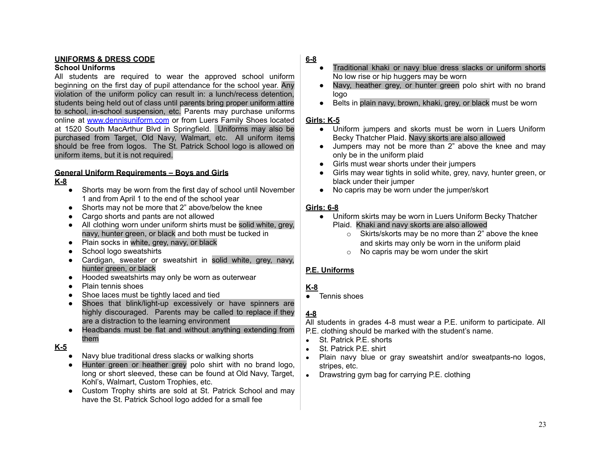# **UNIFORMS & DRESS CODE**

#### **School Uniforms**

All students are required to wear the approved school uniform beginning on the first day of pupil attendance for the school year. Any violation of the uniform policy can result in: a lunch/recess detention, students being held out of class until parents bring proper uniform attire to school, in-school suspension, etc. Parents may purchase uniforms online at [www.dennisuniform.com](http://www.dennisuniform.com) or from Luers Family Shoes located at 1520 South MacArthur Blvd in Springfield. Uniforms may also be purchased from Target, Old Navy, Walmart, etc. All uniform items should be free from logos. The St. Patrick School logo is allowed on uniform items, but it is not required.

# **General Uniform Requirements – Boys and Girls**

# **K-8**

- Shorts may be worn from the first day of school until November 1 and from April 1 to the end of the school year
- Shorts may not be more that 2" above/below the knee
- Cargo shorts and pants are not allowed
- All clothing worn under uniform shirts must be solid white, grey, navy, hunter green, or black and both must be tucked in
- Plain socks in white, grey, navy, or black
- School logo sweatshirts
- Cardigan, sweater or sweatshirt in solid white, grey, navy, hunter green, or black
- Hooded sweatshirts may only be worn as outerwear
- **Plain tennis shoes**
- Shoe laces must be tightly laced and tied
- Shoes that blink/light-up excessively or have spinners are highly discouraged. Parents may be called to replace if they are a distraction to the learning environment
- Headbands must be flat and without anything extending from them

# **K-5**

- Navy blue traditional dress slacks or walking shorts
- Hunter green or heather grey polo shirt with no brand logo, long or short sleeved, these can be found at Old Navy, Target, Kohl's, Walmart, Custom Trophies, etc.
- Custom Trophy shirts are sold at St. Patrick School and may have the St. Patrick School logo added for a small fee

# **6-8**

- Traditional khaki or navy blue dress slacks or uniform shorts No low rise or hip huggers may be worn
- Navy, heather grey, or hunter green polo shirt with no brand logo
- Belts in plain navy, brown, khaki, grey, or black must be worn

# **Girls: K-5**

- Uniform jumpers and skorts must be worn in Luers Uniform Becky Thatcher Plaid. Navy skorts are also allowed
- Jumpers may not be more than 2" above the knee and may only be in the uniform plaid
- Girls must wear shorts under their jumpers
- Girls may wear tights in solid white, grey, navy, hunter green, or black under their jumper
- No capris may be worn under the jumper/skort

# **Girls: 6-8**

- Uniform skirts may be worn in Luers Uniform Becky Thatcher Plaid. Khaki and navy skorts are also allowed
	- o Skirts/skorts may be no more than 2" above the knee and skirts may only be worn in the uniform plaid
	- $\circ$  No capris may be worn under the skirt

# **P.E. Uniforms**

# **K-8**

Tennis shoes

# **4-8**

All students in grades 4-8 must wear a P.E. uniform to participate. All P.E. clothing should be marked with the student's name.

- St. Patrick P.E. shorts
- St. Patrick P.E. shirt
- Plain navy blue or gray sweatshirt and/or sweatpants-no logos, stripes, etc.
- **●** Drawstring gym bag for carrying P.E. clothing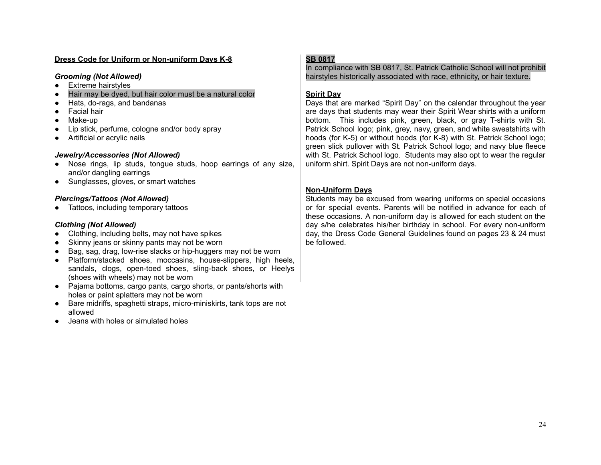#### **Dress Code for Uniform or Non-uniform Days K-8**

#### *Grooming (Not Allowed)*

- Extreme hairstyles
- Hair may be dyed, but hair color must be a natural color
- Hats, do-rags, and bandanas
- Facial hair
- Make-up
- Lip stick, perfume, cologne and/or body spray
- Artificial or acrylic nails

# *Jewelry/Accessories (Not Allowed)*

- Nose rings, lip studs, tongue studs, hoop earrings of any size, and/or dangling earrings
- Sunglasses, gloves, or smart watches

# *Piercings/Tattoos (Not Allowed)*

• Tattoos, including temporary tattoos

# *Clothing (Not Allowed)*

- Clothing, including belts, may not have spikes
- Skinny jeans or skinny pants may not be worn
- Bag, sag, drag, low-rise slacks or hip-huggers may not be worn
- Platform/stacked shoes, moccasins, house-slippers, high heels, sandals, clogs, open-toed shoes, sling-back shoes, or Heelys (shoes with wheels) may not be worn
- Pajama bottoms, cargo pants, cargo shorts, or pants/shorts with holes or paint splatters may not be worn
- Bare midriffs, spaghetti straps, micro-miniskirts, tank tops are not allowed
- Jeans with holes or simulated holes

# **SB 0817**

In compliance with SB 0817, St. Patrick Catholic School will not prohibit hairstyles historically associated with race, ethnicity, or hair texture.

# **Spirit Day**

Days that are marked "Spirit Day" on the calendar throughout the year are days that students may wear their Spirit Wear shirts with a uniform bottom. This includes pink, green, black, or gray T-shirts with St. Patrick School logo; pink, grey, navy, green, and white sweatshirts with hoods (for K-5) or without hoods (for K-8) with St. Patrick School logo; green slick pullover with St. Patrick School logo; and navy blue fleece with St. Patrick School logo. Students may also opt to wear the regular uniform shirt. Spirit Days are not non-uniform days.

# **Non-Uniform Days**

Students may be excused from wearing uniforms on special occasions or for special events. Parents will be notified in advance for each of these occasions. A non-uniform day is allowed for each student on the day s/he celebrates his/her birthday in school. For every non-uniform day, the Dress Code General Guidelines found on pages 23 & 24 must be followed.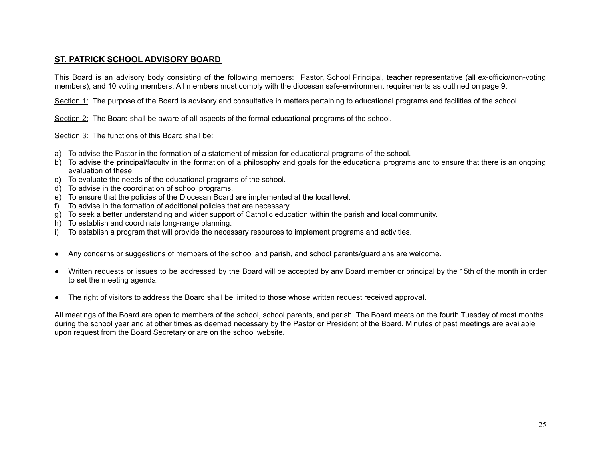# **ST. PATRICK SCHOOL ADVISORY BOARD**

This Board is an advisory body consisting of the following members: Pastor, School Principal, teacher representative (all ex-officio/non-voting members), and 10 voting members. All members must comply with the diocesan safe-environment requirements as outlined on page 9.

Section 1: The purpose of the Board is advisory and consultative in matters pertaining to educational programs and facilities of the school.

Section 2: The Board shall be aware of all aspects of the formal educational programs of the school.

Section 3: The functions of this Board shall be:

- a) To advise the Pastor in the formation of a statement of mission for educational programs of the school.
- b) To advise the principal/faculty in the formation of a philosophy and goals for the educational programs and to ensure that there is an ongoing evaluation of these.
- c) To evaluate the needs of the educational programs of the school.
- d) To advise in the coordination of school programs.
- e) To ensure that the policies of the Diocesan Board are implemented at the local level.
- f) To advise in the formation of additional policies that are necessary.
- g) To seek a better understanding and wider support of Catholic education within the parish and local community.
- h) To establish and coordinate long-range planning.
- i) To establish a program that will provide the necessary resources to implement programs and activities.
- Any concerns or suggestions of members of the school and parish, and school parents/guardians are welcome.
- Written requests or issues to be addressed by the Board will be accepted by any Board member or principal by the 15th of the month in order to set the meeting agenda.
- The right of visitors to address the Board shall be limited to those whose written request received approval.

All meetings of the Board are open to members of the school, school parents, and parish. The Board meets on the fourth Tuesday of most months during the school year and at other times as deemed necessary by the Pastor or President of the Board. Minutes of past meetings are available upon request from the Board Secretary or are on the school website.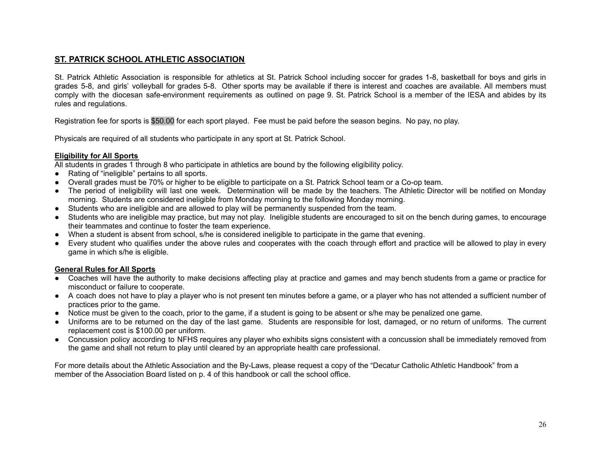# **ST. PATRICK SCHOOL ATHLETIC ASSOCIATION**

St. Patrick Athletic Association is responsible for athletics at St. Patrick School including soccer for grades 1-8, basketball for boys and girls in grades 5-8, and girls' volleyball for grades 5-8. Other sports may be available if there is interest and coaches are available. All members must comply with the diocesan safe-environment requirements as outlined on page 9. St. Patrick School is a member of the IESA and abides by its rules and regulations.

Registration fee for sports is \$50.00 for each sport played. Fee must be paid before the season begins. No pay, no play.

Physicals are required of all students who participate in any sport at St. Patrick School.

#### **Eligibility for All Sports**

All students in grades 1 through 8 who participate in athletics are bound by the following eligibility policy.

- Rating of "ineligible" pertains to all sports.
- Overall grades must be 70% or higher to be eligible to participate on a St. Patrick School team or a Co-op team.
- The period of ineligibility will last one week. Determination will be made by the teachers. The Athletic Director will be notified on Monday morning. Students are considered ineligible from Monday morning to the following Monday morning.
- Students who are ineligible and are allowed to play will be permanently suspended from the team.
- Students who are ineligible may practice, but may not play. Ineligible students are encouraged to sit on the bench during games, to encourage their teammates and continue to foster the team experience.
- When a student is absent from school, s/he is considered ineligible to participate in the game that evening.
- Every student who qualifies under the above rules and cooperates with the coach through effort and practice will be allowed to play in every game in which s/he is eligible.

#### **General Rules for All Sports**

- Coaches will have the authority to make decisions affecting play at practice and games and may bench students from a game or practice for misconduct or failure to cooperate.
- A coach does not have to play a player who is not present ten minutes before a game, or a player who has not attended a sufficient number of practices prior to the game.
- Notice must be given to the coach, prior to the game, if a student is going to be absent or s/he may be penalized one game.
- Uniforms are to be returned on the day of the last game. Students are responsible for lost, damaged, or no return of uniforms. The current replacement cost is \$100.00 per uniform.
- Concussion policy according to NFHS requires any player who exhibits signs consistent with a concussion shall be immediately removed from the game and shall not return to play until cleared by an appropriate health care professional.

For more details about the Athletic Association and the By-Laws, please request a copy of the "Decatur Catholic Athletic Handbook" from a member of the Association Board listed on p. 4 of this handbook or call the school office.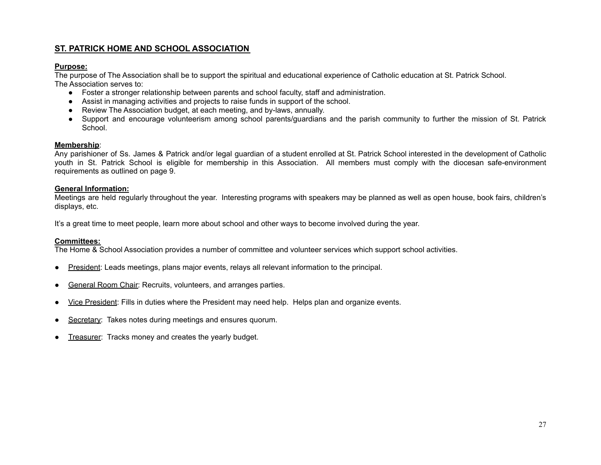# **ST. PATRICK HOME AND SCHOOL ASSOCIATION**

# **Purpose:**

The purpose of The Association shall be to support the spiritual and educational experience of Catholic education at St. Patrick School. The Association serves to:

- Foster a stronger relationship between parents and school faculty, staff and administration.
- Assist in managing activities and projects to raise funds in support of the school.
- Review The Association budget, at each meeting, and by-laws, annually.
- Support and encourage volunteerism among school parents/guardians and the parish community to further the mission of St. Patrick School.

#### **Membership**:

Any parishioner of Ss. James & Patrick and/or legal guardian of a student enrolled at St. Patrick School interested in the development of Catholic youth in St. Patrick School is eligible for membership in this Association. All members must comply with the diocesan safe-environment requirements as outlined on page 9.

#### **General Information:**

Meetings are held regularly throughout the year. Interesting programs with speakers may be planned as well as open house, book fairs, children's displays, etc.

It's a great time to meet people, learn more about school and other ways to become involved during the year.

#### **Committees:**

The Home & School Association provides a number of committee and volunteer services which support school activities.

- President: Leads meetings, plans major events, relays all relevant information to the principal.
- General Room Chair: Recruits, volunteers, and arranges parties.
- Vice President: Fills in duties where the President may need help. Helps plan and organize events.
- Secretary: Takes notes during meetings and ensures quorum.
- Treasurer: Tracks money and creates the yearly budget.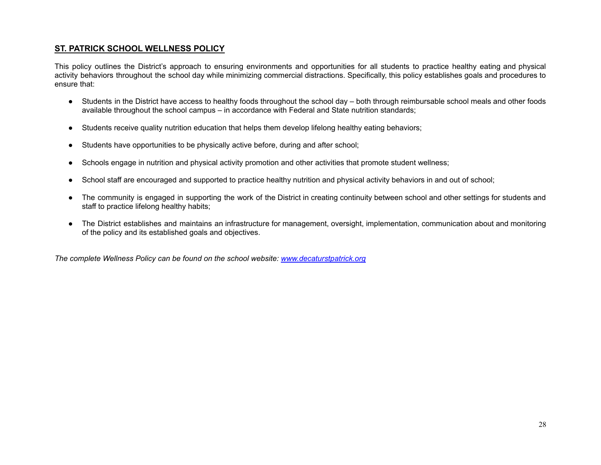# **ST. PATRICK SCHOOL WELLNESS POLICY**

This policy outlines the District's approach to ensuring environments and opportunities for all students to practice healthy eating and physical activity behaviors throughout the school day while minimizing commercial distractions. Specifically, this policy establishes goals and procedures to ensure that:

- Students in the District have access to healthy foods throughout the school day both through reimbursable school meals and other foods available throughout the school campus – in accordance with Federal and State nutrition standards;
- Students receive quality nutrition education that helps them develop lifelong healthy eating behaviors;
- Students have opportunities to be physically active before, during and after school;
- Schools engage in nutrition and physical activity promotion and other activities that promote student wellness;
- School staff are encouraged and supported to practice healthy nutrition and physical activity behaviors in and out of school;
- The community is engaged in supporting the work of the District in creating continuity between school and other settings for students and staff to practice lifelong healthy habits;
- The District establishes and maintains an infrastructure for management, oversight, implementation, communication about and monitoring of the policy and its established goals and objectives.

*The complete Wellness Policy can be found on the school website: [www.decaturstpatrick.org](http://www.decaturstpatrick.org)*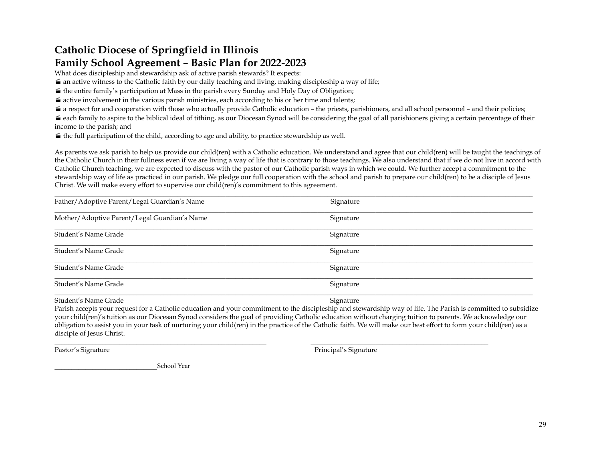# **Catholic Diocese of Springfield in Illinois**

# **Family School Agreement – Basic Plan for 2022-2023**

What does discipleship and stewardship ask of active parish stewards? It expects:

- $\blacktriangle$  an active witness to the Catholic faith by our daily teaching and living, making discipleship a way of life;
- $\blacktriangle$  the entire family's participation at Mass in the parish every Sunday and Holy Day of Obligation;
- $\blacktriangle$  active involvement in the various parish ministries, each according to his or her time and talents;
- $\blacktriangle$  a respect for and cooperation with those who actually provide Catholic education the priests, parishioners, and all school personnel and their policies;

 $\blacktriangle$  each family to aspire to the biblical ideal of tithing, as our Diocesan Synod will be considering the goal of all parishioners giving a certain percentage of their income to the parish; and

 $\leq$  the full participation of the child, according to age and ability, to practice stewardship as well.

As parents we ask parish to help us provide our child(ren) with a Catholic education. We understand and agree that our child(ren) will be taught the teachings of the Catholic Church in their fullness even if we are living a way of life that is contrary to those teachings. We also understand that if we do not live in accord with Catholic Church teaching, we are expected to discuss with the pastor of our Catholic parish ways in which we could. We further accept a commitment to the stewardship way of life as practiced in our parish. We pledge our full cooperation with the school and parish to prepare our child(ren) to be a disciple of Jesus Christ. We will make every effort to supervise our child(ren)'s commitment to this agreement.

| Father/Adoptive Parent/Legal Guardian's Name | Signature |  |
|----------------------------------------------|-----------|--|
| Mother/Adoptive Parent/Legal Guardian's Name | Signature |  |
| Student's Name Grade                         | Signature |  |
| Student's Name Grade                         | Signature |  |
| Student's Name Grade                         | Signature |  |
| Student's Name Grade                         | Signature |  |
|                                              |           |  |

Student's Name Grade Signature Signature Signature Signature Signature Signature Signature Signature Signature

Parish accepts your request for a Catholic education and your commitment to the discipleship and stewardship way of life. The Parish is committed to subsidize your child(ren)'s tuition as our Diocesan Synod considers the goal of providing Catholic education without charging tuition to parents. We acknowledge our obligation to assist you in your task of nurturing your child(ren) in the practice of the Catholic faith. We will make our best effort to form your child(ren) as a disciple of Jesus Christ.

\_\_\_\_\_\_\_\_\_\_\_\_\_\_\_\_\_\_\_\_\_\_\_\_\_\_\_\_\_\_\_\_\_\_\_\_\_\_\_\_\_\_\_\_\_\_\_\_\_\_\_\_\_\_\_\_\_\_\_\_\_\_ \_\_\_\_\_\_\_\_\_\_\_\_\_\_\_\_\_\_\_\_\_\_\_\_\_\_\_\_\_\_\_\_\_\_\_\_\_\_\_\_\_\_\_\_\_\_\_\_\_\_\_\_

Pastor's Signature Pastor's Signature Principal's Signature Principal's Signature

School Year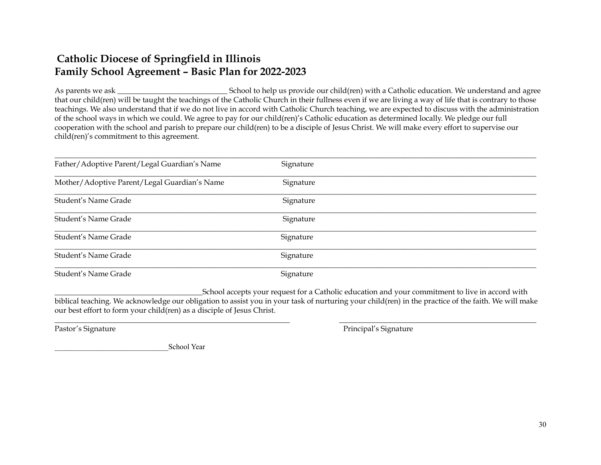# **Catholic Diocese of Springfield in Illinois Family School Agreement – Basic Plan for 2022-2023**

As parents we ask \_\_\_\_\_\_\_\_\_\_\_\_\_\_\_\_\_\_\_\_\_\_\_\_\_\_\_\_\_ School to help us provide our child(ren) with a Catholic education. We understand and agree that our child(ren) will be taught the teachings of the Catholic Church in their fullness even if we are living a way of life that is contrary to those teachings. We also understand that if we do not live in accord with Catholic Church teaching, we are expected to discuss with the administration of the school ways in which we could. We agree to pay for our child(ren)'s Catholic education as determined locally. We pledge our full cooperation with the school and parish to prepare our child(ren) to be a disciple of Jesus Christ. We will make every effort to supervise our child(ren)'s commitment to this agreement.

| Father/Adoptive Parent/Legal Guardian's Name | Signature |
|----------------------------------------------|-----------|
| Mother/Adoptive Parent/Legal Guardian's Name | Signature |
| Student's Name Grade                         | Signature |
| Student's Name Grade                         | Signature |
| Student's Name Grade                         | Signature |
| Student's Name Grade                         | Signature |
| Student's Name Grade                         | Signature |

\_\_\_\_\_\_\_\_\_\_\_\_\_\_\_\_\_\_\_\_\_\_\_\_\_\_\_\_\_\_\_\_\_\_\_\_\_\_\_School accepts your request for a Catholic education and your commitment to live in accord with biblical teaching. We acknowledge our obligation to assist you in your task of nurturing your child(ren) in the practice of the faith. We will make our best effort to form your child(ren) as a disciple of Jesus Christ.

\_\_\_\_\_\_\_\_\_\_\_\_\_\_\_\_\_\_\_\_\_\_\_\_\_\_\_\_\_\_\_\_\_\_\_\_\_\_\_\_\_\_\_\_\_\_\_\_\_\_\_\_\_\_\_\_\_\_\_\_\_\_ \_\_\_\_\_\_\_\_\_\_\_\_\_\_\_\_\_\_\_\_\_\_\_\_\_\_\_\_\_\_\_\_\_\_\_\_\_\_\_\_\_\_\_\_\_\_\_\_\_\_\_\_

Pastor's Signature **Pastor's Signature** Principal's Signature Principal's Signature

School Year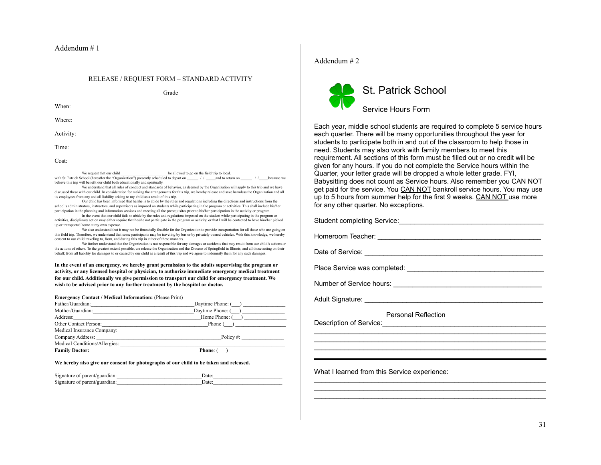#### Addendum # 1

# RELEASE / REQUEST FORM – STANDARD ACTIVITY Grade

When:

Where:

Activity:

Time:

Cost:

We request that our child  $\qquad \qquad$  be allowed to go on the field trip to local. with St. Patrick School (hereafter the "Organization") presently scheduled to depart on  $\frac{1}{\sqrt{2}}$  /  $\frac{1}{\sqrt{2}}$  and to return on believe this trip will benefit our child both educationally and spiritually.

We understand that all rules of conduct and standards of behavior, as deemed by the Organization will apply to this trip and we have discussed these with our child. In consideration for making the arrangements for this trip, we hereby release and save harmless the Organization and all its employees from any and all liability arising to my child as a result of this trip.

Our child has been informed that he/she is to abide by the rules and regulations including the directions and instructions from the school's administrators, instructors, and supervisors as imposed on students while participating in the program or activities. This shall include his/her participation in the planning and information sessions and meeting all the prerequisites prior to his/her participation in the activity or program.

In the event that our child fails to abide by the rules and regulations imposed on the student while participating in the program or activities, disciplinary action may either require that he/she not participate in the program or activity, or that I will be contacted to have him/her picked up or transported home at my own expense.

We also understand that it may not be financially feasible for the Organization to provide transportation for all those who are going on this field trip. Therefore, we understand that some participants may be traveling by bus or by privately owned vehicles. With this knowledge, we hereby consent to our child traveling to, from, and during this trip in either of these manners.

We further understand that the Organization is not responsible for any damages or accidents that may result from our child's actions or the actions of others. To the greatest extend possible, we release the Organization and the Diocese of Springfield in Illinois, and all those acting on their behalf, from all liability for damages to or caused by our child as a result of this trip and we agree to indemnify them for any such damages.

**In the event of an emergency, we hereby grant permission to the adults supervising the program or activity, or any licensed hospital or physician, to authorize immediate emergency medical treatment for our child. Additionally we give permission to transport our child for emergency treatment. We wish to be advised prior to any further treatment by the hospital or doctor.**

#### **Emergency Contact / Medical Information:** (Please Print)

| Father/Guardian:      | the contract of the contract of the contract of the contract of the contract of                                                                                                                                                                                                                                     |
|-----------------------|---------------------------------------------------------------------------------------------------------------------------------------------------------------------------------------------------------------------------------------------------------------------------------------------------------------------|
|                       | Daytime Phone: ()                                                                                                                                                                                                                                                                                                   |
|                       | Home Phone: $($ )                                                                                                                                                                                                                                                                                                   |
| Other Contact Person: | Phone ()                                                                                                                                                                                                                                                                                                            |
|                       |                                                                                                                                                                                                                                                                                                                     |
|                       | Policy $\#$ :                                                                                                                                                                                                                                                                                                       |
|                       | Medical Conditions/Allergies:                                                                                                                                                                                                                                                                                       |
|                       | <b>Phone:</b> (<br>$\mathbf{1}$ and $\mathbf{1}$ and $\mathbf{1}$ and $\mathbf{1}$ and $\mathbf{1}$ and $\mathbf{1}$ and $\mathbf{1}$ and $\mathbf{1}$ and $\mathbf{1}$ and $\mathbf{1}$ and $\mathbf{1}$ and $\mathbf{1}$ and $\mathbf{1}$ and $\mathbf{1}$ and $\mathbf{1}$ and $\mathbf{1}$ and $\mathbf{1}$ and |

#### **We hereby also give our consent for photographs of our child to be taken and released.**

| Signature of parent/guardian: | Date: |  |
|-------------------------------|-------|--|
| Signature of parent/guardian: | Date: |  |

#### Addendum # 2



Each year, middle school students are required to complete 5 service hours each quarter. There will be many opportunities throughout the year for students to participate both in and out of the classroom to help those in need. Students may also work with family members to meet this requirement. All sections of this form must be filled out or no credit will be given for any hours. If you do not complete the Service hours within the Quarter, your letter grade will be dropped a whole letter grade. FYI, Babysitting does not count as Service hours. Also remember you CAN NOT get paid for the service. You CAN NOT bankroll service hours. You may use up to 5 hours from summer help for the first 9 weeks. CAN NOT use more for any other quarter. No exceptions.

Student completing Service: example the state of the state of the state of the state of the state of the state of the state of the state of the state of the state of the state of the state of the state of the state of the

Homeroom Teacher: \_\_\_\_\_\_\_\_\_\_\_\_\_\_\_\_\_\_\_\_\_\_\_\_\_\_\_\_\_\_\_\_\_\_\_\_\_\_\_\_\_\_\_

Date of Service: \_\_\_\_\_\_\_\_\_\_\_\_\_\_\_\_\_\_\_\_\_\_\_\_\_\_\_\_\_\_\_\_\_\_\_\_\_\_\_\_\_\_\_\_\_\_\_

Place Service was completed:  $\blacksquare$ 

Number of Service hours: \_\_\_\_\_\_\_\_\_\_\_\_\_\_\_\_\_\_\_\_\_\_\_\_\_\_\_\_\_\_\_\_\_\_\_\_\_\_\_

Adult Signature:  $\blacksquare$ 

Personal Reflection

\_\_\_\_\_\_\_\_\_\_\_\_\_\_\_\_\_\_\_\_\_\_\_\_\_\_\_\_\_\_\_\_\_\_\_\_\_\_\_\_\_\_\_\_\_\_\_\_\_\_\_\_\_\_\_\_\_\_\_\_\_ \_\_\_\_\_\_\_\_\_\_\_\_\_\_\_\_\_\_\_\_\_\_\_\_\_\_\_\_\_\_\_\_\_\_\_\_\_\_\_\_\_\_\_\_\_\_\_\_\_\_\_\_\_\_\_\_\_\_\_\_\_ \_\_\_\_\_\_\_\_\_\_\_\_\_\_\_\_\_\_\_\_\_\_\_\_\_\_\_\_\_\_\_\_\_\_\_\_\_\_\_\_\_\_\_\_\_\_\_\_\_\_\_\_\_\_\_\_\_\_\_\_\_

 $\mathcal{L}_\text{max}$  and  $\mathcal{L}_\text{max}$  and  $\mathcal{L}_\text{max}$  and  $\mathcal{L}_\text{max}$  and  $\mathcal{L}_\text{max}$ \_\_\_\_\_\_\_\_\_\_\_\_\_\_\_\_\_\_\_\_\_\_\_\_\_\_\_\_\_\_\_\_\_\_\_\_\_\_\_\_\_\_\_\_\_\_\_\_\_\_\_\_\_\_\_\_\_\_\_\_\_ \_\_\_\_\_\_\_\_\_\_\_\_\_\_\_\_\_\_\_\_\_\_\_\_\_\_\_\_\_\_\_\_\_\_\_\_\_\_\_\_\_\_\_\_\_\_\_\_\_\_\_\_\_\_\_\_\_\_\_\_\_

Description of Service:\_\_\_\_\_\_\_\_\_\_\_\_\_\_\_\_\_\_\_\_\_\_\_\_\_\_\_\_\_\_\_\_\_\_\_\_\_\_\_\_\_\_\_

What I learned from this Service experience: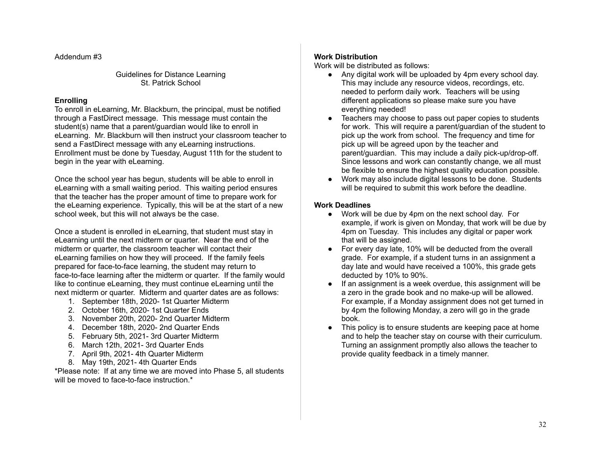Addendum #3

Guidelines for Distance Learning St. Patrick School

# **Enrolling**

To enroll in eLearning, Mr. Blackburn, the principal, must be notified through a FastDirect message. This message must contain the student(s) name that a parent/guardian would like to enroll in eLearning. Mr. Blackburn will then instruct your classroom teacher to send a FastDirect message with any eLearning instructions. Enrollment must be done by Tuesday, August 11th for the student to begin in the year with eLearning.

Once the school year has begun, students will be able to enroll in eLearning with a small waiting period. This waiting period ensures that the teacher has the proper amount of time to prepare work for the eLearning experience. Typically, this will be at the start of a new school week, but this will not always be the case.

Once a student is enrolled in eLearning, that student must stay in eLearning until the next midterm or quarter. Near the end of the midterm or quarter, the classroom teacher will contact their eLearning families on how they will proceed. If the family feels prepared for face-to-face learning, the student may return to face-to-face learning after the midterm or quarter. If the family would like to continue eLearning, they must continue eLearning until the next midterm or quarter. Midterm and quarter dates are as follows:

- 1. September 18th, 2020- 1st Quarter Midterm
- 2. October 16th, 2020- 1st Quarter Ends
- 3. November 20th, 2020- 2nd Quarter Midterm
- 4. December 18th, 2020- 2nd Quarter Ends
- 5. February 5th, 2021- 3rd Quarter Midterm
- 6. March 12th, 2021- 3rd Quarter Ends
- 7. April 9th, 2021- 4th Quarter Midterm
- 8. May 19th, 2021- 4th Quarter Ends

\*Please note: If at any time we are moved into Phase 5, all students will be moved to face-to-face instruction.<sup>\*</sup>

# **Work Distribution**

Work will be distributed as follows:

- Any digital work will be uploaded by 4pm every school day. This may include any resource videos, recordings, etc. needed to perform daily work. Teachers will be using different applications so please make sure you have everything needed!
- Teachers may choose to pass out paper copies to students for work. This will require a parent/guardian of the student to pick up the work from school. The frequency and time for pick up will be agreed upon by the teacher and parent/guardian. This may include a daily pick-up/drop-off. Since lessons and work can constantly change, we all must be flexible to ensure the highest quality education possible.
- Work may also include digital lessons to be done. Students will be required to submit this work before the deadline.

# **Work Deadlines**

- Work will be due by 4pm on the next school day. For example, if work is given on Monday, that work will be due by 4pm on Tuesday. This includes any digital or paper work that will be assigned.
- For every day late, 10% will be deducted from the overall grade. For example, if a student turns in an assignment a day late and would have received a 100%, this grade gets deducted by 10% to 90%.
- If an assignment is a week overdue, this assignment will be a zero in the grade book and no make-up will be allowed. For example, if a Monday assignment does not get turned in by 4pm the following Monday, a zero will go in the grade book.
- This policy is to ensure students are keeping pace at home and to help the teacher stay on course with their curriculum. Turning an assignment promptly also allows the teacher to provide quality feedback in a timely manner.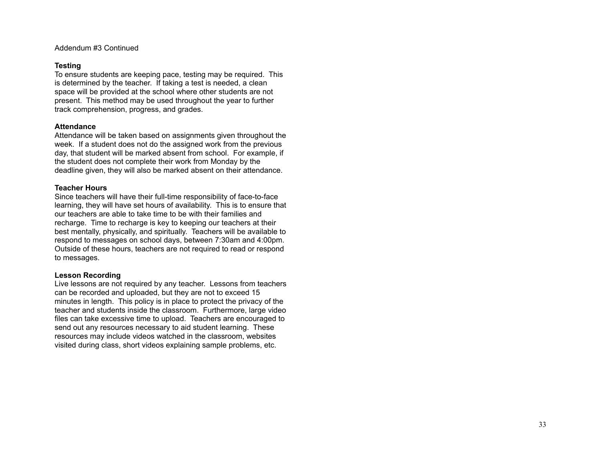Addendum #3 Continued

#### **Te s t i n g**

To ensure students are keeping pace, testing may be required. This is determined by the teacher. If taking a test is needed, a clean space will be provided at the school where other students are not present. This method may be used throughout the year to further track comprehension, progress, and grades.

#### **Attendance**

Attendance will be taken based on assignments given throughout the week. If a student does not do the assigned work from the previous day, that student will be marked absent from school. For example, if the student does not complete their work from Monday by the deadline given, they will also be marked absent on their attendance.

#### **Teacher Hours**

Since teachers will have their full-time responsibility of face-to-face learning, they will have set hours of availability. This is to ensure that our teachers are able to take time to be with their families and recharge. Time to recharge is key to keeping our teachers at their best mentally, physically, and spiritually. Teachers will be available to respond to messages on school days, between 7:30am and 4:00pm. Outside of these hours, teachers are not required to read or respond to messages.

#### **Lesson Recording**

Live lessons are not required by any teacher. Lessons from teachers can be recorded and uploaded, but they are not to exceed 15 minutes in length. This policy is in place to protect the privacy of the teacher and students inside the classroom. Furthermore, large video files can take excessive time to upload. Teachers are encouraged to send out any resources necessary to aid student learning. These resources may include videos watched in the classroom, websites visited during class, short videos explaining sample problems, etc.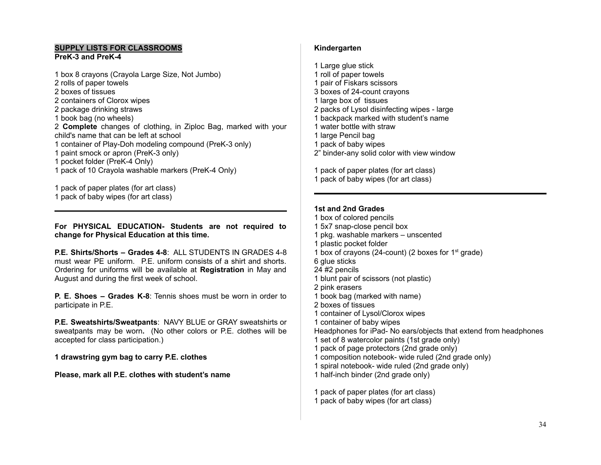# **SUPPLY LISTS FOR CLASSROOMS**

# **PreK-3 and PreK-4**

 box 8 crayons (Crayola Large Size, Not Jumbo) rolls of paper towels boxes of tissues containers of Clorox wipes package drinking straws book bag (no wheels) **Complete** changes of clothing, in Ziploc Bag, marked with your child's name that can be left at school container of Play-Doh modeling compound (PreK-3 only) paint smock or apron (PreK-3 only) pocket folder (PreK-4 Only) pack of 10 Crayola washable markers (PreK-4 Only)

pack of paper plates (for art class)

pack of baby wipes (for art class)

**For PHYSICAL EDUCATION- Students are not required to change for Physical Education at this time.**

**P.E. Shirts/Shorts – Grades 4-8**: ALL STUDENTS IN GRADES 4-8 must wear PE uniform. P.E. uniform consists of a shirt and shorts. Ordering for uniforms will be available at **Registration** in May and August and during the first week of school.

**P. E. Shoes – Grades K-8**: Tennis shoes must be worn in order to participate in P.E.

**P.E. Sweatshirts/Sweatpants**: NAVY BLUE or GRAY sweatshirts or sweatpants may be worn**.** (No other colors or P.E. clothes will be accepted for class participation.)

**drawstring gym bag to carry P.E. clothes**

**Please, mark all P.E. clothes with student's name**

# **Kindergarten**

 Large glue stick roll of paper towels pair of Fiskars scissors boxes of 24-count crayons large box of tissues packs of Lysol disinfecting wipes - large backpack marked with student's name water bottle with straw large Pencil bag pack of baby wipes 2" binder-any solid color with view window

 pack of paper plates (for art class) pack of baby wipes (for art class)

# **1st and 2nd Grades**

 box of colored pencils 5x7 snap-close pencil box pkg. washable markers – unscented plastic pocket folder 1 box of crayons (24-count) (2 boxes for  $1<sup>st</sup>$  grade) glue sticks #2 pencils blunt pair of scissors (not plastic) pink erasers book bag (marked with name) boxes of tissues container of Lysol/Clorox wipes container of baby wipes Headphones for iPad- No ears/objects that extend from headphones set of 8 watercolor paints (1st grade only) pack of page protectors (2nd grade only) composition notebook- wide ruled (2nd grade only) spiral notebook- wide ruled (2nd grade only) half-inch binder (2nd grade only) pack of paper plates (for art class)

pack of baby wipes (for art class)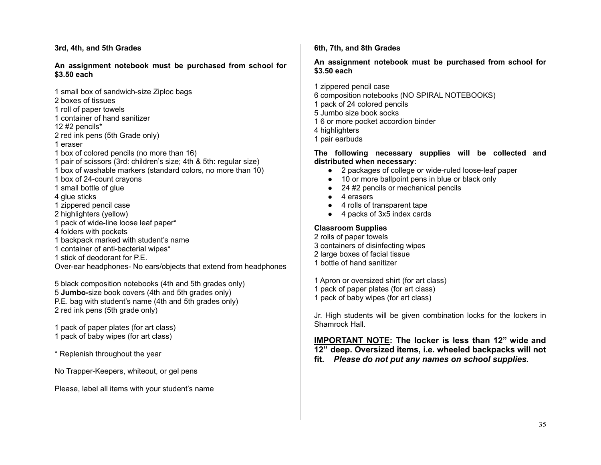#### **3rd, 4th, and 5th Grades**

#### **An assignment notebook must be purchased from school for \$3.50 each**

1 small box of sandwich-size Ziploc bags

- 2 boxes of tissues
- 1 roll of paper towels
- 1 container of hand sanitizer

12 #2 pencils\*

- 2 red ink pens (5th Grade only)
- 1 eraser
- 1 box of colored pencils (no more than 16)
- 1 pair of scissors (3rd: children's size; 4th & 5th: regular size)
- 1 box of washable markers (standard colors, no more than 10)
- 1 box of 24-count crayons
- 1 small bottle of glue
- 4 glue sticks
- 1 zippered pencil case
- 2 highlighters (yellow)
- 1 pack of wide-line loose leaf paper\*
- 4 folders with pockets
- 1 backpack marked with student's name
- 1 container of anti-bacterial wipes\*
- 1 stick of deodorant for P.F.

Over-ear headphones- No ears/objects that extend from headphones

 black composition notebooks (4th and 5th grades only) **Jumbo-**size book covers (4th and 5th grades only) P.E. bag with student's name (4th and 5th grades only) red ink pens (5th grade only)

1 pack of paper plates (for art class)

- 1 pack of baby wipes (for art class)
- \* Replenish throughout the year

No Trapper-Keepers, whiteout, or gel pens

Please, label all items with your student's name

### **6th, 7th, and 8th Grades**

#### **An assignment notebook must be purchased from school for \$3.50 each**

1 zippered pencil case

- 6 composition notebooks (NO SPIRAL NOTEBOOKS)
- 1 pack of 24 colored pencils
- 5 Jumbo size book socks
- 1 6 or more pocket accordion binder
- 4 highlighters
- 1 pair earbuds

# **The following necessary supplies will be collected and distributed when necessary:**

- 2 packages of college or wide-ruled loose-leaf paper
- 10 or more ballpoint pens in blue or black only
- 24 #2 pencils or mechanical pencils
- 4 erasers
- 4 rolls of transparent tape
- 4 packs of 3x5 index cards

# **Classroom Supplies**

 rolls of paper towels containers of disinfecting wipes large boxes of facial tissue bottle of hand sanitizer

1 Apron or oversized shirt (for art class)

- 1 pack of paper plates (for art class)
- 1 pack of baby wipes (for art class)

Jr. High students will be given combination locks for the lockers in Shamrock Hall.

**IMPORTANT NOTE: The locker is less than 12" wide and 12" deep. Oversized items, i.e. wheeled backpacks will not fit.** *Please do not put any names on school supplies.*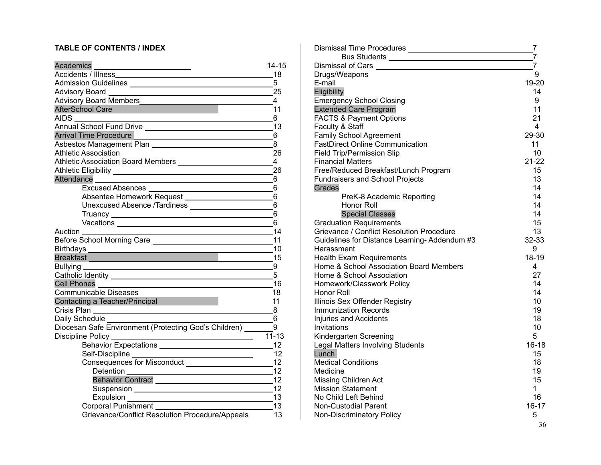# **TABLE OF CONTENTS / INDEX**

| Academics ___________________________                                                                                                                                                                                                | 14-15          |
|--------------------------------------------------------------------------------------------------------------------------------------------------------------------------------------------------------------------------------------|----------------|
|                                                                                                                                                                                                                                      | 18             |
|                                                                                                                                                                                                                                      | 5              |
| Advisory Board 25                                                                                                                                                                                                                    |                |
| Advisory Board Members                                                                                                                                                                                                               | $\overline{4}$ |
| <b>AfterSchool Care</b><br><u> Martin Barbara</u>                                                                                                                                                                                    | 11             |
| <b>AIDS</b><br><u> 1989 - Johann Barn, amerikansk politiker (d. 1989)</u>                                                                                                                                                            | 6              |
|                                                                                                                                                                                                                                      |                |
| <b>Arrival Time Procedure</b>                                                                                                                                                                                                        | 6              |
|                                                                                                                                                                                                                                      | 8              |
| <b>Athletic Association</b>                                                                                                                                                                                                          | 26             |
|                                                                                                                                                                                                                                      | $\overline{4}$ |
|                                                                                                                                                                                                                                      | 26             |
|                                                                                                                                                                                                                                      | -6             |
|                                                                                                                                                                                                                                      | 6              |
|                                                                                                                                                                                                                                      | 6              |
|                                                                                                                                                                                                                                      |                |
| Truancy $\frac{1}{2}$ Truancy $\frac{1}{2}$ Truancy $\frac{1}{2}$ Truancy $\frac{1}{2}$ Truancy $\frac{1}{2}$                                                                                                                        | 6              |
|                                                                                                                                                                                                                                      | 6              |
| <u>14 - Andrea Andrew Maria (14</u><br>Auction ________                                                                                                                                                                              |                |
|                                                                                                                                                                                                                                      |                |
|                                                                                                                                                                                                                                      |                |
| Breakfast <b>Contract Contract Contract Contract Contract Contract Contract Contract Contract Contract Contract Contract Contract Contract Contract Contract Contract Contract Contract Contract Contract Contract Contract Cont</b> | 15             |
| Bullying _____                                                                                                                                                                                                                       | 9              |
|                                                                                                                                                                                                                                      | 5              |
| Cell Phones                                                                                                                                                                                                                          | 16             |
| <b>Communicable Diseases</b>                                                                                                                                                                                                         | 18             |
| Contacting a Teacher/Principal                                                                                                                                                                                                       | 11             |
|                                                                                                                                                                                                                                      | 8              |
|                                                                                                                                                                                                                                      | $6\phantom{1}$ |
| Diocesan Safe Environment (Protecting God's Children) ______                                                                                                                                                                         | 9              |
|                                                                                                                                                                                                                                      | $11 - 13$      |
|                                                                                                                                                                                                                                      | 12             |
| Self-Discipline ______<br><u> 1980 - Johann Barn, mars an t-Amerikaansk kommunister (</u>                                                                                                                                            | 12             |
|                                                                                                                                                                                                                                      | 12             |
| Detention<br><u> 1989 - Johann Barn, mars ann an t-Amhain Aonaich an t-Aonaich an t-Aonaich ann an t-Aonaich ann an t-Aonaich</u>                                                                                                    | 12             |
| Behavior Contract <b>contract contract contract</b>                                                                                                                                                                                  | 12             |
|                                                                                                                                                                                                                                      |                |
|                                                                                                                                                                                                                                      | 13             |
|                                                                                                                                                                                                                                      | 13             |
| Grievance/Conflict Resolution Procedure/Appeals                                                                                                                                                                                      | 13             |

| Dismissal Time Procedures ________________________      | 7              |
|---------------------------------------------------------|----------------|
| Bus Students _______________                            | $\overline{7}$ |
| Dismissal of Cars                                       | 7              |
| Drugs/Weapons                                           | 9              |
| E-mail                                                  | 19-20          |
| Eligibility                                             | 14             |
| <b>Emergency School Closing</b>                         | 9              |
| <b>Extended Care Program</b>                            | 11             |
| <b>FACTS &amp; Payment Options</b>                      | 21             |
| Faculty & Staff                                         | 4              |
| <b>Family School Agreement</b>                          | 29-30          |
| <b>FastDirect Online Communication</b>                  | 11             |
| <b>Field Trip/Permission Slip</b>                       | 10             |
| <b>Financial Matters</b>                                | 21-22          |
| Free/Reduced Breakfast/Lunch Program                    | 15             |
| <b>Fundraisers and School Projects</b>                  | 13             |
| Grades                                                  | 14             |
| PreK-8 Academic Reporting                               | 14             |
| Honor Roll                                              | 14             |
| <b>Special Classes</b>                                  | 14             |
| <b>Graduation Requirements</b>                          | 15             |
| Grievance / Conflict Resolution Procedure               | 13             |
| Guidelines for Distance Learning-Addendum #3            | 32-33          |
| Harassment                                              | 9              |
| <b>Health Exam Requirements</b>                         | 18-19          |
| Home & School Association Board Members                 | 4              |
| Home & School Association                               | 27             |
| Homework/Classwork Policy                               | 14             |
| Honor Roll                                              | 14             |
| Illinois Sex Offender Registry                          | 10             |
| <b>Immunization Records</b>                             | 19             |
| Injuries and Accidents                                  | 18             |
| Invitations                                             | 10             |
| Kindergarten Screening                                  | 5<br>$16 - 18$ |
| <b>Legal Matters Involving Students</b>                 |                |
| Lunch<br><b>Medical Conditions</b>                      | 15             |
| Medicine                                                | 18<br>19       |
|                                                         | 15             |
| <b>Missing Children Act</b><br><b>Mission Statement</b> | 1              |
| No Child Left Behind                                    | 16             |
| Non-Custodial Parent                                    | 16-17          |
| Non-Discriminatory Policy                               | 5              |
|                                                         |                |
|                                                         | 36             |